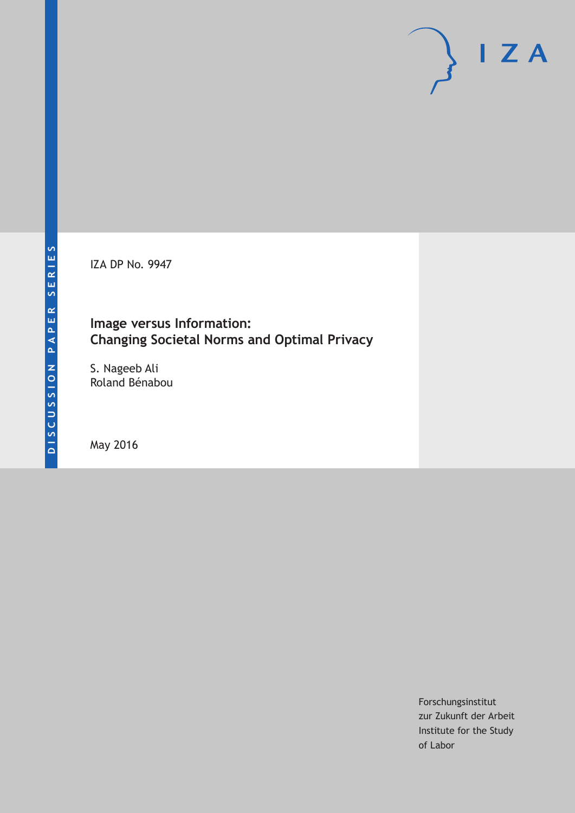IZA DP No. 9947

# **Image versus Information: Changing Societal Norms and Optimal Privacy**

S. Nageeb Ali Roland Bénabou

May 2016

Forschungsinstitut zur Zukunft der Arbeit Institute for the Study of Labor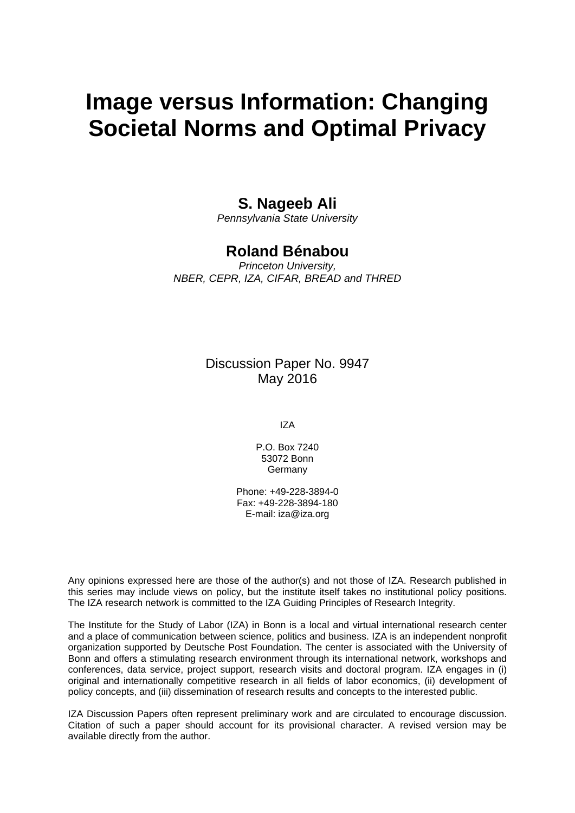# **Image versus Information: Changing Societal Norms and Optimal Privacy**

# **S. Nageeb Ali**

*Pennsylvania State University* 

# **Roland Bénabou**

*Princeton University, NBER, CEPR, IZA, CIFAR, BREAD and THRED* 

> Discussion Paper No. 9947 May 2016

> > IZA

P.O. Box 7240 53072 Bonn **Germany** 

Phone: +49-228-3894-0 Fax: +49-228-3894-180 E-mail: iza@iza.org

Any opinions expressed here are those of the author(s) and not those of IZA. Research published in this series may include views on policy, but the institute itself takes no institutional policy positions. The IZA research network is committed to the IZA Guiding Principles of Research Integrity.

The Institute for the Study of Labor (IZA) in Bonn is a local and virtual international research center and a place of communication between science, politics and business. IZA is an independent nonprofit organization supported by Deutsche Post Foundation. The center is associated with the University of Bonn and offers a stimulating research environment through its international network, workshops and conferences, data service, project support, research visits and doctoral program. IZA engages in (i) original and internationally competitive research in all fields of labor economics, (ii) development of policy concepts, and (iii) dissemination of research results and concepts to the interested public.

IZA Discussion Papers often represent preliminary work and are circulated to encourage discussion. Citation of such a paper should account for its provisional character. A revised version may be available directly from the author.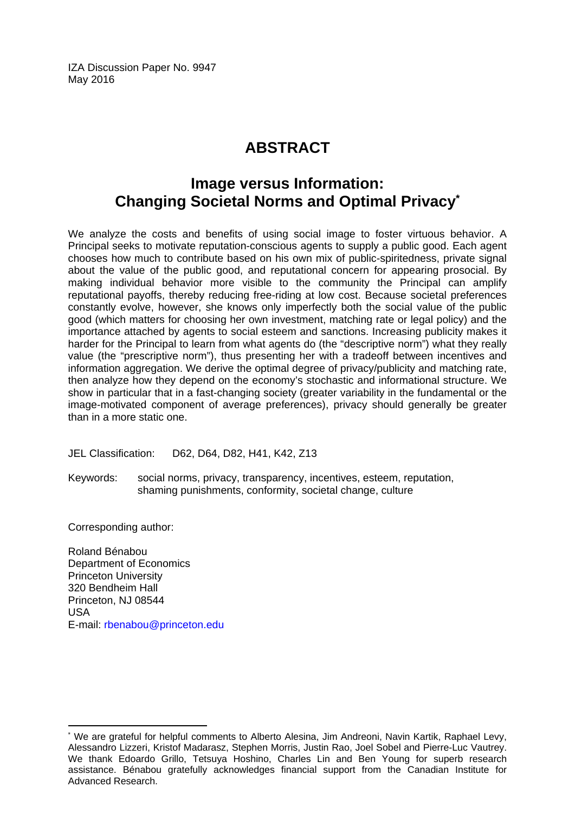IZA Discussion Paper No. 9947 May 2016

# **ABSTRACT**

# **Image versus Information: Changing Societal Norms and Optimal Privacy\***

We analyze the costs and benefits of using social image to foster virtuous behavior. A Principal seeks to motivate reputation-conscious agents to supply a public good. Each agent chooses how much to contribute based on his own mix of public-spiritedness, private signal about the value of the public good, and reputational concern for appearing prosocial. By making individual behavior more visible to the community the Principal can amplify reputational payoffs, thereby reducing free-riding at low cost. Because societal preferences constantly evolve, however, she knows only imperfectly both the social value of the public good (which matters for choosing her own investment, matching rate or legal policy) and the importance attached by agents to social esteem and sanctions. Increasing publicity makes it harder for the Principal to learn from what agents do (the "descriptive norm") what they really value (the "prescriptive norm"), thus presenting her with a tradeoff between incentives and information aggregation. We derive the optimal degree of privacy/publicity and matching rate. then analyze how they depend on the economy's stochastic and informational structure. We show in particular that in a fast-changing society (greater variability in the fundamental or the image-motivated component of average preferences), privacy should generally be greater than in a more static one.

JEL Classification: D62, D64, D82, H41, K42, Z13

Keywords: social norms, privacy, transparency, incentives, esteem, reputation, shaming punishments, conformity, societal change, culture

Corresponding author:

 $\overline{a}$ 

Roland Bénabou Department of Economics Princeton University 320 Bendheim Hall Princeton, NJ 08544 USA E-mail: rbenabou@princeton.edu

<sup>\*</sup> We are grateful for helpful comments to Alberto Alesina, Jim Andreoni, Navin Kartik, Raphael Levy, Alessandro Lizzeri, Kristof Madarasz, Stephen Morris, Justin Rao, Joel Sobel and Pierre-Luc Vautrey. We thank Edoardo Grillo, Tetsuya Hoshino, Charles Lin and Ben Young for superb research assistance. Bénabou gratefully acknowledges financial support from the Canadian Institute for Advanced Research.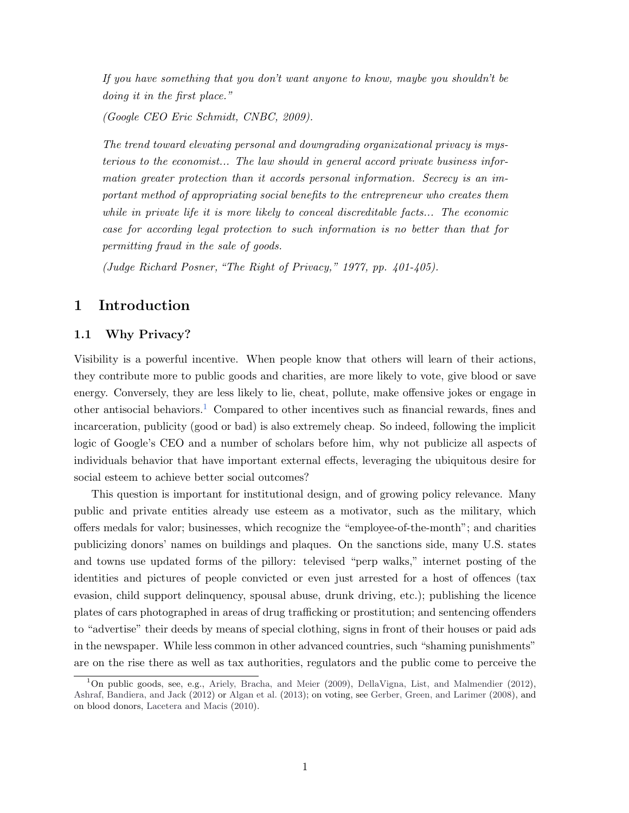If you have something that you don't want anyone to know, maybe you shouldn't be doing it in the first place."

(Google CEO Eric Schmidt, CNBC, 2009).

The trend toward elevating personal and downgrading organizational privacy is mysterious to the economist... The law should in general accord private business information greater protection than it accords personal information. Secrecy is an important method of appropriating social benefits to the entrepreneur who creates them while in private life it is more likely to conceal discreditable facts... The economic case for according legal protection to such information is no better than that for permitting fraud in the sale of goods.

(Judge Richard Posner, "The Right of Privacy," 1977, pp. 401-405).

### 1 Introduction

#### 1.1 Why Privacy?

Visibility is a powerful incentive. When people know that others will learn of their actions, they contribute more to public goods and charities, are more likely to vote, give blood or save energy. Conversely, they are less likely to lie, cheat, pollute, make offensive jokes or engage in other antisocial behaviors.<sup>[1](#page-3-0)</sup> Compared to other incentives such as financial rewards, fines and incarceration, publicity (good or bad) is also extremely cheap. So indeed, following the implicit logic of Google's CEO and a number of scholars before him, why not publicize all aspects of individuals behavior that have important external effects, leveraging the ubiquitous desire for social esteem to achieve better social outcomes?

This question is important for institutional design, and of growing policy relevance. Many public and private entities already use esteem as a motivator, such as the military, which offers medals for valor; businesses, which recognize the "employee-of-the-month"; and charities publicizing donors' names on buildings and plaques. On the sanctions side, many U.S. states and towns use updated forms of the pillory: televised "perp walks," internet posting of the identities and pictures of people convicted or even just arrested for a host of offences (tax evasion, child support delinquency, spousal abuse, drunk driving, etc.); publishing the licence plates of cars photographed in areas of drug trafficking or prostitution; and sentencing offenders to "advertise" their deeds by means of special clothing, signs in front of their houses or paid ads in the newspaper. While less common in other advanced countries, such "shaming punishments" are on the rise there as well as tax authorities, regulators and the public come to perceive the

<span id="page-3-0"></span><sup>&</sup>lt;sup>1</sup>On public goods, see, e.g., [Ariely, Bracha, and Meier](#page-33-0) [\(2009\)](#page-33-0), [DellaVigna, List, and Malmendier](#page-34-0) [\(2012\)](#page-34-0), [Ashraf, Bandiera, and Jack](#page-34-1) [\(2012\)](#page-34-1) or [Algan et al.](#page-33-1) [\(2013\)](#page-33-1); on voting, see [Gerber, Green, and Larimer](#page-35-0) [\(2008\)](#page-35-0), and on blood donors, [Lacetera and Macis](#page-35-1) [\(2010\)](#page-35-1).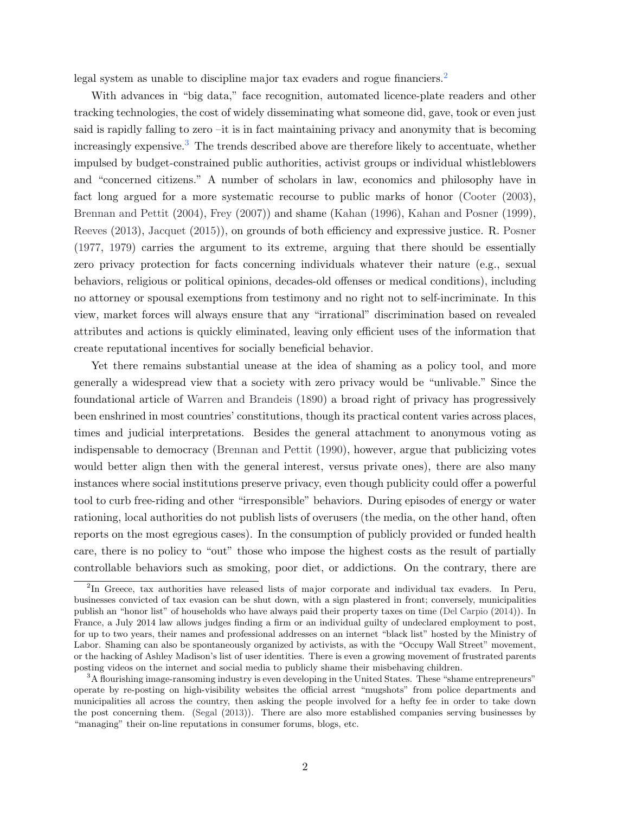legal system as unable to discipline major tax evaders and rogue financiers.<sup>[2](#page-4-0)</sup>

With advances in "big data," face recognition, automated licence-plate readers and other tracking technologies, the cost of widely disseminating what someone did, gave, took or even just said is rapidly falling to zero –it is in fact maintaining privacy and anonymity that is becoming increasingly expensive.<sup>[3](#page-4-1)</sup> The trends described above are therefore likely to accentuate, whether impulsed by budget-constrained public authorities, activist groups or individual whistleblowers and "concerned citizens." A number of scholars in law, economics and philosophy have in fact long argued for a more systematic recourse to public marks of honor [\(Cooter](#page-34-2) [\(2003\)](#page-34-2), [Brennan and Pettit](#page-34-3) [\(2004\)](#page-34-3), [Frey](#page-35-2) [\(2007\)](#page-35-2)) and shame [\(Kahan](#page-35-3) [\(1996\)](#page-35-3), [Kahan and Posner](#page-35-4) [\(1999\)](#page-35-4), [Reeves](#page-36-0) [\(2013\)](#page-36-0), [Jacquet](#page-35-5) [\(2015\)](#page-35-5)), on grounds of both efficiency and expressive justice. R. [Posner](#page-36-1) [\(1977,](#page-36-1) [1979\)](#page-36-2) carries the argument to its extreme, arguing that there should be essentially zero privacy protection for facts concerning individuals whatever their nature (e.g., sexual behaviors, religious or political opinions, decades-old offenses or medical conditions), including no attorney or spousal exemptions from testimony and no right not to self-incriminate. In this view, market forces will always ensure that any "irrational" discrimination based on revealed attributes and actions is quickly eliminated, leaving only efficient uses of the information that create reputational incentives for socially beneficial behavior.

Yet there remains substantial unease at the idea of shaming as a policy tool, and more generally a widespread view that a society with zero privacy would be "unlivable." Since the foundational article of [Warren and Brandeis](#page-36-3) [\(1890\)](#page-36-3) a broad right of privacy has progressively been enshrined in most countries' constitutions, though its practical content varies across places, times and judicial interpretations. Besides the general attachment to anonymous voting as indispensable to democracy [\(Brennan and Pettit](#page-34-4) [\(1990\)](#page-34-4), however, argue that publicizing votes would better align then with the general interest, versus private ones), there are also many instances where social institutions preserve privacy, even though publicity could offer a powerful tool to curb free-riding and other "irresponsible" behaviors. During episodes of energy or water rationing, local authorities do not publish lists of overusers (the media, on the other hand, often reports on the most egregious cases). In the consumption of publicly provided or funded health care, there is no policy to "out" those who impose the highest costs as the result of partially controllable behaviors such as smoking, poor diet, or addictions. On the contrary, there are

<span id="page-4-0"></span><sup>&</sup>lt;sup>2</sup>In Greece, tax authorities have released lists of major corporate and individual tax evaders. In Peru, businesses convicted of tax evasion can be shut down, with a sign plastered in front; conversely, municipalities publish an "honor list" of households who have always paid their property taxes on time [\(Del Carpio](#page-34-5) [\(2014\)](#page-34-5)). In France, a July 2014 law allows judges finding a firm or an individual guilty of undeclared employment to post, for up to two years, their names and professional addresses on an internet "black list" hosted by the Ministry of Labor. Shaming can also be spontaneously organized by activists, as with the "Occupy Wall Street" movement, or the hacking of Ashley Madison's list of user identities. There is even a growing movement of frustrated parents posting videos on the internet and social media to publicly shame their misbehaving children.

<span id="page-4-1"></span><sup>&</sup>lt;sup>3</sup>A flourishing image-ransoming industry is even developing in the United States. These "shame entrepreneurs" operate by re-posting on high-visibility websites the official arrest "mugshots" from police departments and municipalities all across the country, then asking the people involved for a hefty fee in order to take down the post concerning them. [\(Segal](#page-36-4) [\(2013\)](#page-36-4)). There are also more established companies serving businesses by "managing" their on-line reputations in consumer forums, blogs, etc.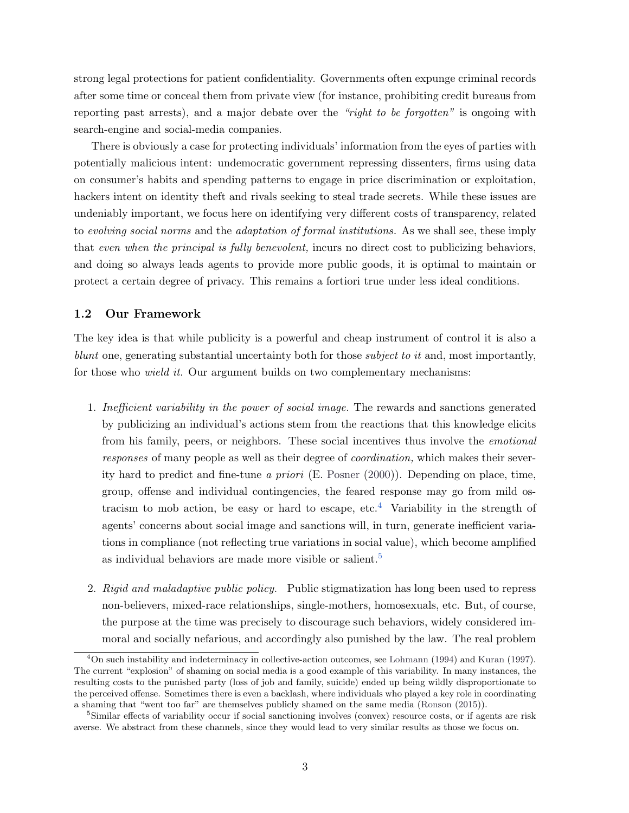strong legal protections for patient confidentiality. Governments often expunge criminal records after some time or conceal them from private view (for instance, prohibiting credit bureaus from reporting past arrests), and a major debate over the "right to be forgotten" is ongoing with search-engine and social-media companies.

There is obviously a case for protecting individuals' information from the eyes of parties with potentially malicious intent: undemocratic government repressing dissenters, firms using data on consumer's habits and spending patterns to engage in price discrimination or exploitation, hackers intent on identity theft and rivals seeking to steal trade secrets. While these issues are undeniably important, we focus here on identifying very different costs of transparency, related to evolving social norms and the adaptation of formal institutions. As we shall see, these imply that even when the principal is fully benevolent, incurs no direct cost to publicizing behaviors, and doing so always leads agents to provide more public goods, it is optimal to maintain or protect a certain degree of privacy. This remains a fortiori true under less ideal conditions.

#### 1.2 Our Framework

The key idea is that while publicity is a powerful and cheap instrument of control it is also a blunt one, generating substantial uncertainty both for those *subject to it* and, most importantly, for those who wield it. Our argument builds on two complementary mechanisms:

- 1. Inefficient variability in the power of social image. The rewards and sanctions generated by publicizing an individual's actions stem from the reactions that this knowledge elicits from his family, peers, or neighbors. These social incentives thus involve the emotional responses of many people as well as their degree of coordination, which makes their severity hard to predict and fine-tune a priori (E. [Posner](#page-36-5) [\(2000\)](#page-36-5)). Depending on place, time, group, offense and individual contingencies, the feared response may go from mild os-tracism to mob action, be easy or hard to escape, etc.<sup>[4](#page-5-0)</sup> Variability in the strength of agents' concerns about social image and sanctions will, in turn, generate inefficient variations in compliance (not reflecting true variations in social value), which become amplified as individual behaviors are made more visible or salient.<sup>[5](#page-5-1)</sup>
- 2. Rigid and maladaptive public policy. Public stigmatization has long been used to repress non-believers, mixed-race relationships, single-mothers, homosexuals, etc. But, of course, the purpose at the time was precisely to discourage such behaviors, widely considered immoral and socially nefarious, and accordingly also punished by the law. The real problem

<span id="page-5-0"></span><sup>4</sup>On such instability and indeterminacy in collective-action outcomes, see [Lohmann](#page-36-6) [\(1994\)](#page-36-6) and [Kuran](#page-35-6) [\(1997\)](#page-35-6). The current "explosion" of shaming on social media is a good example of this variability. In many instances, the resulting costs to the punished party (loss of job and family, suicide) ended up being wildly disproportionate to the perceived offense. Sometimes there is even a backlash, where individuals who played a key role in coordinating a shaming that "went too far" are themselves publicly shamed on the same media [\(Ronson](#page-36-7) [\(2015\)](#page-36-7)).

<span id="page-5-1"></span><sup>&</sup>lt;sup>5</sup>Similar effects of variability occur if social sanctioning involves (convex) resource costs, or if agents are risk averse. We abstract from these channels, since they would lead to very similar results as those we focus on.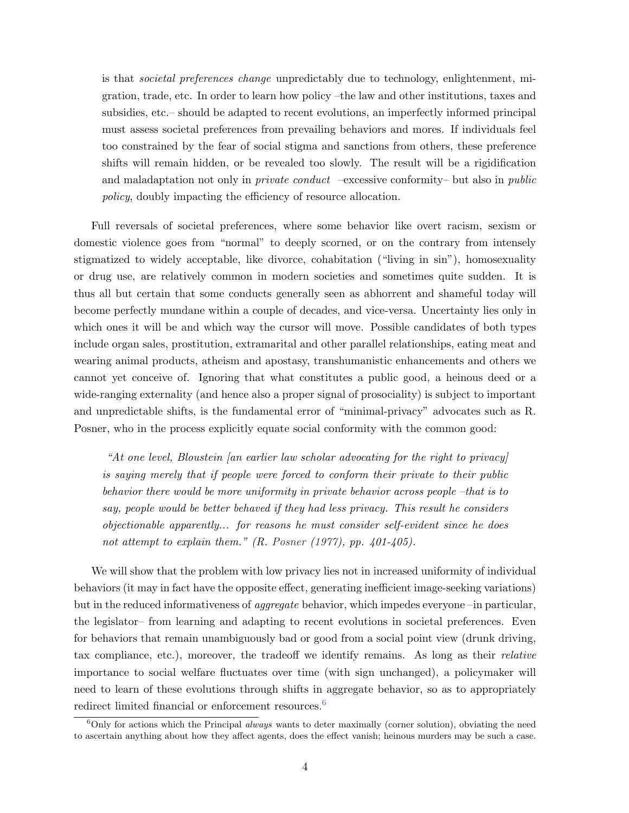is that *societal preferences change* unpredictably due to technology, enlightenment, migration, trade, etc. In order to learn how policy –the law and other institutions, taxes and subsidies, etc.– should be adapted to recent evolutions, an imperfectly informed principal must assess societal preferences from prevailing behaviors and mores. If individuals feel too constrained by the fear of social stigma and sanctions from others, these preference shifts will remain hidden, or be revealed too slowly. The result will be a rigidification and maladaptation not only in *private conduct*  $-$ excessive conformity– but also in *public* policy, doubly impacting the efficiency of resource allocation.

Full reversals of societal preferences, where some behavior like overt racism, sexism or domestic violence goes from "normal" to deeply scorned, or on the contrary from intensely stigmatized to widely acceptable, like divorce, cohabitation ("living in sin"), homosexuality or drug use, are relatively common in modern societies and sometimes quite sudden. It is thus all but certain that some conducts generally seen as abhorrent and shameful today will become perfectly mundane within a couple of decades, and vice-versa. Uncertainty lies only in which ones it will be and which way the cursor will move. Possible candidates of both types include organ sales, prostitution, extramarital and other parallel relationships, eating meat and wearing animal products, atheism and apostasy, transhumanistic enhancements and others we cannot yet conceive of. Ignoring that what constitutes a public good, a heinous deed or a wide-ranging externality (and hence also a proper signal of prosociality) is subject to important and unpredictable shifts, is the fundamental error of "minimal-privacy" advocates such as R. Posner, who in the process explicitly equate social conformity with the common good:

"At one level, Bloustein  $\left| \text{an earlier law scholar advocating for the right to privacy} \right|$ is saying merely that if people were forced to conform their private to their public behavior there would be more uniformity in private behavior across people –that is to say, people would be better behaved if they had less privacy. This result he considers objectionable apparently... for reasons he must consider self-evident since he does not attempt to explain them." (R. [Posner](#page-36-1) [\(1977\)](#page-36-1), pp. 401-405).

We will show that the problem with low privacy lies not in increased uniformity of individual behaviors (it may in fact have the opposite effect, generating inefficient image-seeking variations) but in the reduced informativeness of aggregate behavior, which impedes everyone –in particular, the legislator– from learning and adapting to recent evolutions in societal preferences. Even for behaviors that remain unambiguously bad or good from a social point view (drunk driving, tax compliance, etc.), moreover, the tradeoff we identify remains. As long as their relative importance to social welfare fluctuates over time (with sign unchanged), a policymaker will need to learn of these evolutions through shifts in aggregate behavior, so as to appropriately redirect limited financial or enforcement resources.<sup>[6](#page-6-0)</sup>

<span id="page-6-0"></span><sup>&</sup>lt;sup>6</sup>Only for actions which the Principal *always* wants to deter maximally (corner solution), obviating the need to ascertain anything about how they affect agents, does the effect vanish; heinous murders may be such a case.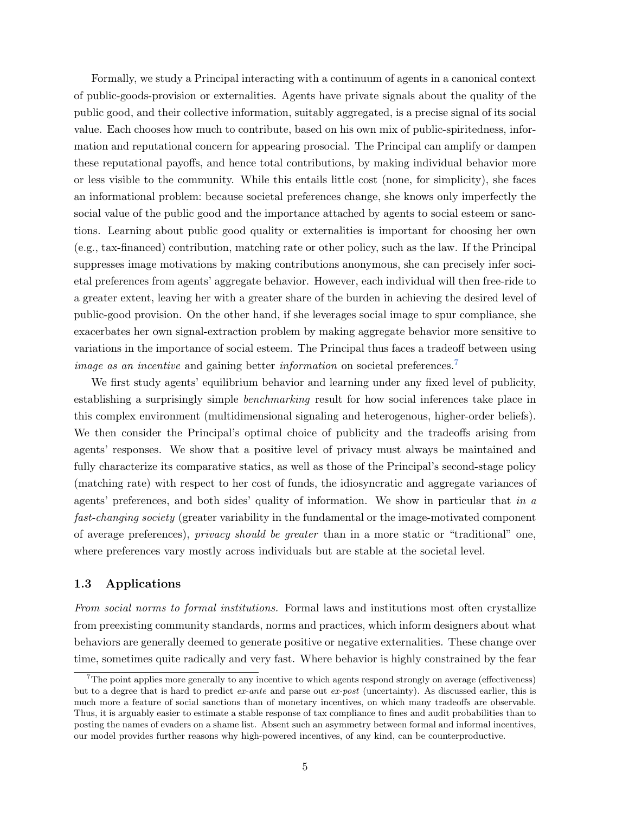Formally, we study a Principal interacting with a continuum of agents in a canonical context of public-goods-provision or externalities. Agents have private signals about the quality of the public good, and their collective information, suitably aggregated, is a precise signal of its social value. Each chooses how much to contribute, based on his own mix of public-spiritedness, information and reputational concern for appearing prosocial. The Principal can amplify or dampen these reputational payoffs, and hence total contributions, by making individual behavior more or less visible to the community. While this entails little cost (none, for simplicity), she faces an informational problem: because societal preferences change, she knows only imperfectly the social value of the public good and the importance attached by agents to social esteem or sanctions. Learning about public good quality or externalities is important for choosing her own (e.g., tax-financed) contribution, matching rate or other policy, such as the law. If the Principal suppresses image motivations by making contributions anonymous, she can precisely infer societal preferences from agents' aggregate behavior. However, each individual will then free-ride to a greater extent, leaving her with a greater share of the burden in achieving the desired level of public-good provision. On the other hand, if she leverages social image to spur compliance, she exacerbates her own signal-extraction problem by making aggregate behavior more sensitive to variations in the importance of social esteem. The Principal thus faces a tradeoff between using image as an incentive and gaining better information on societal preferences.<sup>[7](#page-7-0)</sup>

We first study agents' equilibrium behavior and learning under any fixed level of publicity, establishing a surprisingly simple *benchmarking* result for how social inferences take place in this complex environment (multidimensional signaling and heterogenous, higher-order beliefs). We then consider the Principal's optimal choice of publicity and the tradeoffs arising from agents' responses. We show that a positive level of privacy must always be maintained and fully characterize its comparative statics, as well as those of the Principal's second-stage policy (matching rate) with respect to her cost of funds, the idiosyncratic and aggregate variances of agents' preferences, and both sides' quality of information. We show in particular that in a fast-changing society (greater variability in the fundamental or the image-motivated component of average preferences), privacy should be greater than in a more static or "traditional" one, where preferences vary mostly across individuals but are stable at the societal level.

#### 1.3 Applications

From social norms to formal institutions. Formal laws and institutions most often crystallize from preexisting community standards, norms and practices, which inform designers about what behaviors are generally deemed to generate positive or negative externalities. These change over time, sometimes quite radically and very fast. Where behavior is highly constrained by the fear

<span id="page-7-0"></span> $7$ The point applies more generally to any incentive to which agents respond strongly on average (effectiveness) but to a degree that is hard to predict ex-ante and parse out ex-post (uncertainty). As discussed earlier, this is much more a feature of social sanctions than of monetary incentives, on which many tradeoffs are observable. Thus, it is arguably easier to estimate a stable response of tax compliance to fines and audit probabilities than to posting the names of evaders on a shame list. Absent such an asymmetry between formal and informal incentives, our model provides further reasons why high-powered incentives, of any kind, can be counterproductive.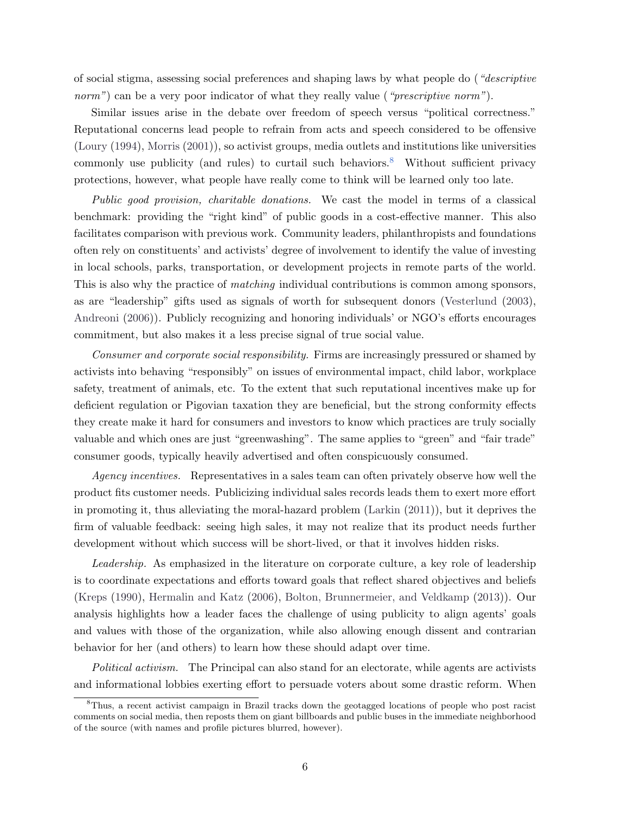of social stigma, assessing social preferences and shaping laws by what people do ("descriptive norm") can be a very poor indicator of what they really value ("prescriptive norm").

Similar issues arise in the debate over freedom of speech versus "political correctness." Reputational concerns lead people to refrain from acts and speech considered to be offensive [\(Loury](#page-36-8) [\(1994\)](#page-36-8), [Morris](#page-36-9) [\(2001\)](#page-36-9)), so activist groups, media outlets and institutions like universities commonly use publicity (and rules) to curtail such behaviors. $8$  Without sufficient privacy protections, however, what people have really come to think will be learned only too late.

Public good provision, charitable donations. We cast the model in terms of a classical benchmark: providing the "right kind" of public goods in a cost-effective manner. This also facilitates comparison with previous work. Community leaders, philanthropists and foundations often rely on constituents' and activists' degree of involvement to identify the value of investing in local schools, parks, transportation, or development projects in remote parts of the world. This is also why the practice of *matching* individual contributions is common among sponsors, as are "leadership" gifts used as signals of worth for subsequent donors [\(Vesterlund](#page-36-10) [\(2003\)](#page-36-10), [Andreoni](#page-33-2) [\(2006\)](#page-33-2)). Publicly recognizing and honoring individuals' or NGO's efforts encourages commitment, but also makes it a less precise signal of true social value.

Consumer and corporate social responsibility. Firms are increasingly pressured or shamed by activists into behaving "responsibly" on issues of environmental impact, child labor, workplace safety, treatment of animals, etc. To the extent that such reputational incentives make up for deficient regulation or Pigovian taxation they are beneficial, but the strong conformity effects they create make it hard for consumers and investors to know which practices are truly socially valuable and which ones are just "greenwashing". The same applies to "green" and "fair trade" consumer goods, typically heavily advertised and often conspicuously consumed.

Agency incentives. Representatives in a sales team can often privately observe how well the product fits customer needs. Publicizing individual sales records leads them to exert more effort in promoting it, thus alleviating the moral-hazard problem [\(Larkin](#page-35-7) [\(2011\)](#page-35-7)), but it deprives the firm of valuable feedback: seeing high sales, it may not realize that its product needs further development without which success will be short-lived, or that it involves hidden risks.

Leadership. As emphasized in the literature on corporate culture, a key role of leadership is to coordinate expectations and efforts toward goals that reflect shared objectives and beliefs [\(Kreps](#page-35-8) [\(1990\)](#page-35-8), [Hermalin and Katz](#page-35-9) [\(2006\)](#page-35-9), [Bolton, Brunnermeier, and Veldkamp](#page-34-6) [\(2013\)](#page-34-6)). Our analysis highlights how a leader faces the challenge of using publicity to align agents' goals and values with those of the organization, while also allowing enough dissent and contrarian behavior for her (and others) to learn how these should adapt over time.

Political activism. The Principal can also stand for an electorate, while agents are activists and informational lobbies exerting effort to persuade voters about some drastic reform. When

<span id="page-8-0"></span><sup>8</sup>Thus, a recent activist campaign in Brazil tracks down the geotagged locations of people who post racist comments on social media, then reposts them on giant billboards and public buses in the immediate neighborhood of the source (with names and profile pictures blurred, however).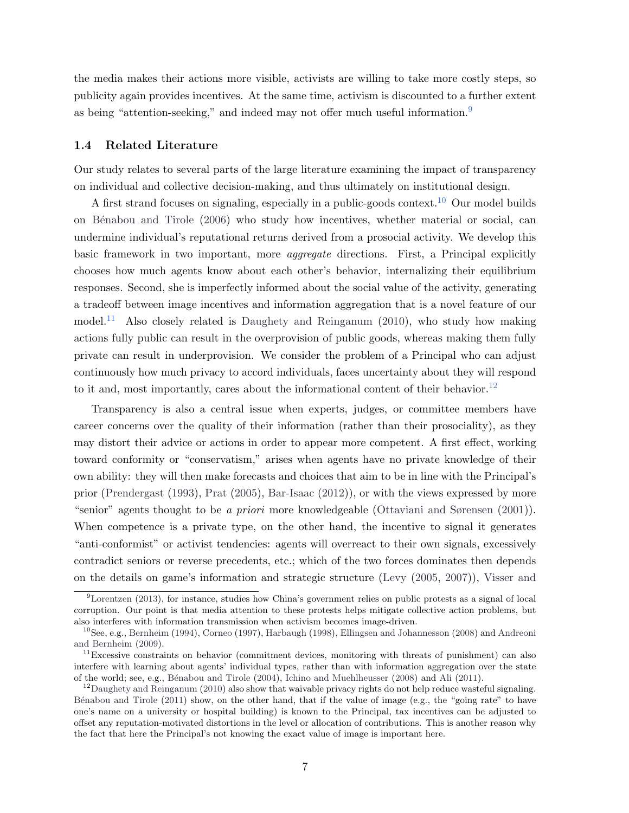the media makes their actions more visible, activists are willing to take more costly steps, so publicity again provides incentives. At the same time, activism is discounted to a further extent as being "attention-seeking," and indeed may not offer much useful information.[9](#page-9-0)

#### 1.4 Related Literature

Our study relates to several parts of the large literature examining the impact of transparency on individual and collective decision-making, and thus ultimately on institutional design.

A first strand focuses on signaling, especially in a public-goods context.<sup>[10](#page-9-1)</sup> Our model builds on [B´enabou and Tirole](#page-34-7) [\(2006\)](#page-34-7) who study how incentives, whether material or social, can undermine individual's reputational returns derived from a prosocial activity. We develop this basic framework in two important, more aggregate directions. First, a Principal explicitly chooses how much agents know about each other's behavior, internalizing their equilibrium responses. Second, she is imperfectly informed about the social value of the activity, generating a tradeoff between image incentives and information aggregation that is a novel feature of our model.<sup>[11](#page-9-2)</sup> Also closely related is [Daughety and Reinganum](#page-34-8) [\(2010\)](#page-34-8), who study how making actions fully public can result in the overprovision of public goods, whereas making them fully private can result in underprovision. We consider the problem of a Principal who can adjust continuously how much privacy to accord individuals, faces uncertainty about they will respond to it and, most importantly, cares about the informational content of their behavior.<sup>[12](#page-9-3)</sup>

Transparency is also a central issue when experts, judges, or committee members have career concerns over the quality of their information (rather than their prosociality), as they may distort their advice or actions in order to appear more competent. A first effect, working toward conformity or "conservatism," arises when agents have no private knowledge of their own ability: they will then make forecasts and choices that aim to be in line with the Principal's prior [\(Prendergast](#page-36-11) [\(1993\)](#page-36-11), [Prat](#page-36-12) [\(2005\)](#page-36-12), [Bar-Isaac](#page-34-9) [\(2012\)](#page-34-9)), or with the views expressed by more "senior" agents thought to be a priori more knowledgeable [\(Ottaviani and Sørensen](#page-36-13) [\(2001\)](#page-36-13)). When competence is a private type, on the other hand, the incentive to signal it generates "anti-conformist" or activist tendencies: agents will overreact to their own signals, excessively contradict seniors or reverse precedents, etc.; which of the two forces dominates then depends on the details on game's information and strategic structure [\(Levy](#page-36-14) [\(2005,](#page-36-14) [2007\)](#page-36-15)), [Visser and](#page-36-16)

<span id="page-9-0"></span><sup>9</sup>[Lorentzen](#page-36-17) [\(2013\), for instance, studies how China's government relies on public protests as a signal of local](#page-36-16) [corruption. Our point is that media attention to these protests helps mitigate collective action problems, but](#page-36-16) [also interferes with information transmission when activism becomes image-driven.](#page-36-16)

<span id="page-9-1"></span><sup>10</sup>See, e.g., [Bernheim](#page-34-10) [\(1994\)](#page-34-10), [Corneo](#page-34-11) [\(1997\)](#page-34-11), [Harbaugh](#page-35-10) [\(1998\)](#page-35-10), [Ellingsen and Johannesson](#page-36-16) [\(2008\)](#page-34-12) and [Andreoni](#page-33-3) [and Bernheim](#page-36-16) [\(2009\)](#page-33-3).

<span id="page-9-2"></span> $11$ [Excessive constraints on behavior \(commitment devices, monitoring with threats of punishment\) can also](#page-36-16) [interfere with learning about agents' individual types, rather than with information aggregation over the state](#page-36-16) of the world; see, e.g., [B´enabou and Tirole](#page-34-13) [\(2004\)](#page-34-13), [Ichino and Muehlheusser](#page-36-16) [\(2008\)](#page-35-11) and [Ali](#page-33-4) [\(2011\)](#page-33-4).

<span id="page-9-3"></span><sup>&</sup>lt;sup>12</sup>[Daughety and Reinganum](#page-34-8) [\(2010\) also show that waivable privacy rights do not help reduce wasteful signaling.](#page-36-16) Bénabou and Tirole [\(2011\) show, on the other hand, that if the value of image \(e.g., the "going rate" to have](#page-36-16) [one's name on a university or hospital building\) is known to the Principal, tax incentives can be adjusted to](#page-36-16) [offset any reputation-motivated distortions in the level or allocation of contributions. This is another reason why](#page-36-16) [the fact that here the Principal's not knowing the exact value of image is important here.](#page-36-16)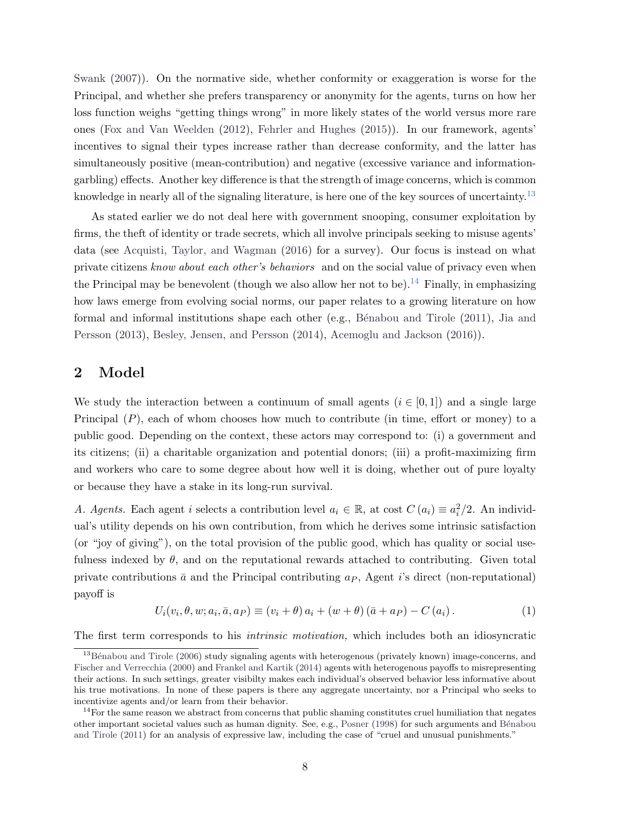[Swank](#page-36-16) [\(2007\)](#page-36-16)). On the normative side, whether conformity or exaggeration is worse for the Principal, and whether she prefers transparency or anonymity for the agents, turns on how her loss function weighs "getting things wrong" in more likely states of the world versus more rare ones [\(Fox and Van Weelden](#page-35-12) [\(2012\)](#page-35-12), [Fehrler and Hughes](#page-34-15) [\(2015\)](#page-34-15)). In our framework, agents' incentives to signal their types increase rather than decrease conformity, and the latter has simultaneously positive (mean-contribution) and negative (excessive variance and informationgarbling) effects. Another key difference is that the strength of image concerns, which is common knowledge in nearly all of the signaling literature, is here one of the key sources of uncertainty.<sup>[13](#page-10-0)</sup>

As stated earlier we do not deal here with government snooping, consumer exploitation by firms, the theft of identity or trade secrets, which all involve principals seeking to misuse agents' data (see [Acquisti, Taylor, and Wagman](#page-33-5) [\(2016\)](#page-33-5) for a survey). Our focus is instead on what private citizens know about each other's behaviors and on the social value of privacy even when the Principal may be benevolent (though we also allow her not to be).<sup>[14](#page-10-1)</sup> Finally, in emphasizing how laws emerge from evolving social norms, our paper relates to a growing literature on how formal and informal institutions shape each other  $(e.g., Bénabou and Tirole (2011), Jia and$  $(e.g., Bénabou and Tirole (2011), Jia and$  $(e.g., Bénabou and Tirole (2011), Jia and$  $(e.g., Bénabou and Tirole (2011), Jia and$ [Persson](#page-35-13) [\(2013\)](#page-35-13), [Besley, Jensen, and Persson](#page-34-16) [\(2014\)](#page-34-16), [Acemoglu and Jackson](#page-33-6) [\(2016\)](#page-33-6)).

### 2 Model

We study the interaction between a continuum of small agents  $(i \in [0, 1])$  and a single large Principal  $(P)$ , each of whom chooses how much to contribute (in time, effort or money) to a public good. Depending on the context, these actors may correspond to: (i) a government and its citizens; (ii) a charitable organization and potential donors; (iii) a profit-maximizing firm and workers who care to some degree about how well it is doing, whether out of pure loyalty or because they have a stake in its long-run survival.

A. Agents. Each agent i selects a contribution level  $a_i \in \mathbb{R}$ , at cost  $C(a_i) \equiv a_i^2/2$ . An individual's utility depends on his own contribution, from which he derives some intrinsic satisfaction (or "joy of giving"), on the total provision of the public good, which has quality or social usefulness indexed by  $\theta$ , and on the reputational rewards attached to contributing. Given total private contributions  $\bar{a}$  and the Principal contributing  $a_P$ , Agent i's direct (non-reputational) payoff is

<span id="page-10-2"></span>
$$
U_i(v_i, \theta, w; a_i, \bar{a}, a_P) \equiv (v_i + \theta) a_i + (w + \theta) (\bar{a} + a_P) - C (a_i).
$$
\n
$$
(1)
$$

The first term corresponds to his intrinsic motivation, which includes both an idiosyncratic

<span id="page-10-0"></span> $^{13}$ Bénabou and Tirole [\(2006\)](#page-34-7) study signaling agents with heterogenous (privately known) image-concerns, and [Fischer and Verrecchia](#page-34-17) [\(2000\)](#page-34-17) and [Frankel and Kartik](#page-35-14) [\(2014\)](#page-35-14) agents with heterogenous payoffs to misrepresenting their actions. In such settings, greater visibilty makes each individual's observed behavior less informative about his true motivations. In none of these papers is there any aggregate uncertainty, nor a Principal who seeks to incentivize agents and/or learn from their behavior.

<span id="page-10-1"></span> $14$ For the same reason we abstract from concerns that public shaming constitutes cruel humiliation that negates other important societal values such as human dignity. See, e.g., [Posner](#page-36-18) [\(1998\)](#page-36-18) for such arguments and [B´enabou](#page-34-14) [and Tirole](#page-34-14) [\(2011\)](#page-34-14) for an analysis of expressive law, including the case of "cruel and unusual punishments."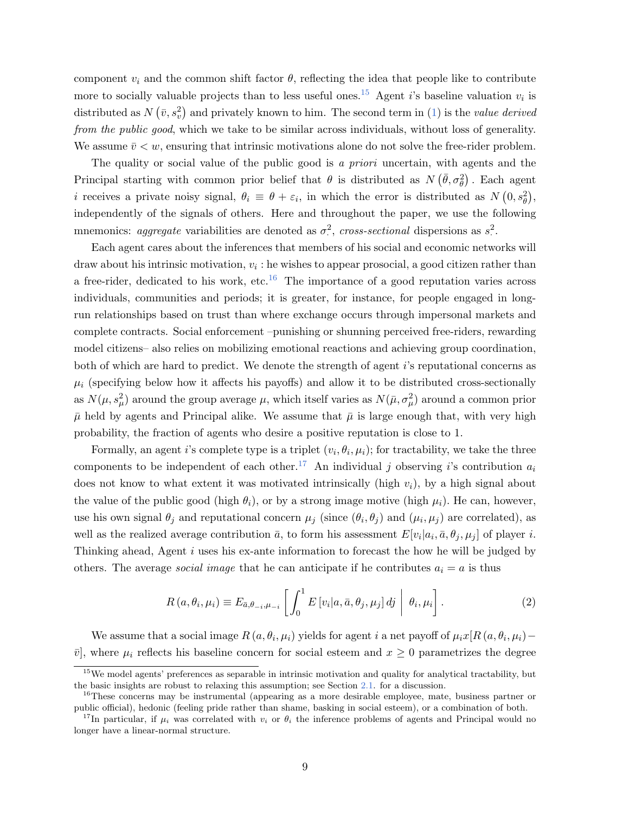component  $v_i$  and the common shift factor  $\theta$ , reflecting the idea that people like to contribute more to socially valuable projects than to less useful ones.<sup>[15](#page-11-0)</sup> Agent *i*'s baseline valuation  $v_i$  is distributed as  $N(\bar{v}, s_v^2)$  and privately known to him. The second term in [\(1\)](#page-10-2) is the *value derived* from the public good, which we take to be similar across individuals, without loss of generality. We assume  $\bar{v} < w$ , ensuring that intrinsic motivations alone do not solve the free-rider problem.

The quality or social value of the public good is a priori uncertain, with agents and the Principal starting with common prior belief that  $\theta$  is distributed as  $N(\bar{\theta}, \sigma_{\theta}^2)$ . Each agent *i* receives a private noisy signal,  $\theta_i \equiv \theta + \varepsilon_i$ , in which the error is distributed as  $N(0, s_\theta^2)$ , independently of the signals of others. Here and throughout the paper, we use the following mnemonics: aggregate variabilities are denoted as  $\sigma^2$ , cross-sectional dispersions as  $s^2$ .

Each agent cares about the inferences that members of his social and economic networks will draw about his intrinsic motivation,  $v_i$ : he wishes to appear prosocial, a good citizen rather than a free-rider, dedicated to his work, etc.<sup>[16](#page-11-1)</sup> The importance of a good reputation varies across individuals, communities and periods; it is greater, for instance, for people engaged in longrun relationships based on trust than where exchange occurs through impersonal markets and complete contracts. Social enforcement –punishing or shunning perceived free-riders, rewarding model citizens– also relies on mobilizing emotional reactions and achieving group coordination, both of which are hard to predict. We denote the strength of agent i's reputational concerns as  $\mu_i$  (specifying below how it affects his payoffs) and allow it to be distributed cross-sectionally as  $N(\mu, s_\mu^2)$  around the group average  $\mu$ , which itself varies as  $N(\bar{\mu}, \sigma_\mu^2)$  around a common prior  $\bar{\mu}$  held by agents and Principal alike. We assume that  $\bar{\mu}$  is large enough that, with very high probability, the fraction of agents who desire a positive reputation is close to 1.

Formally, an agent *i*'s complete type is a triplet  $(v_i, \theta_i, \mu_i)$ ; for tractability, we take the three components to be independent of each other.<sup>[17](#page-11-2)</sup> An individual j observing i's contribution  $a_i$ does not know to what extent it was motivated intrinsically (high  $v_i$ ), by a high signal about the value of the public good (high  $\theta_i$ ), or by a strong image motive (high  $\mu_i$ ). He can, however, use his own signal  $\theta_j$  and reputational concern  $\mu_j$  (since  $(\theta_i, \theta_j)$  and  $(\mu_i, \mu_j)$  are correlated), as well as the realized average contribution  $\bar{a}$ , to form his assessment  $E[v_i|a_i, \bar{a}, \theta_j, \mu_j]$  of player i. Thinking ahead, Agent  $i$  uses his ex-ante information to forecast the how he will be judged by others. The average *social image* that he can anticipate if he contributes  $a_i = a$  is thus

$$
R(a, \theta_i, \mu_i) \equiv E_{\bar{a}, \theta_{-i}, \mu_{-i}} \left[ \int_0^1 E[v_i | a, \bar{a}, \theta_j, \mu_j] \, dj \middle| \, \theta_i, \mu_i \right]. \tag{2}
$$

We assume that a social image  $R(a, \theta_i, \mu_i)$  yields for agent i a net payoff of  $\mu_i x [R(a, \theta_i, \mu_i) \bar{v}$ , where  $\mu_i$  reflects his baseline concern for social esteem and  $x \geq 0$  parametrizes the degree

<span id="page-11-0"></span><sup>&</sup>lt;sup>15</sup>We model agents' preferences as separable in intrinsic motivation and quality for analytical tractability, but the basic insights are robust to relaxing this assumption; see Section [2.1.](#page-14-0) for a discussion.

<span id="page-11-1"></span><sup>&</sup>lt;sup>16</sup>These concerns may be instrumental (appearing as a more desirable employee, mate, business partner or public official), hedonic (feeling pride rather than shame, basking in social esteem), or a combination of both.

<span id="page-11-2"></span><sup>&</sup>lt;sup>17</sup>In particular, if  $\mu_i$  was correlated with  $v_i$  or  $\theta_i$  the inference problems of agents and Principal would no longer have a linear-normal structure.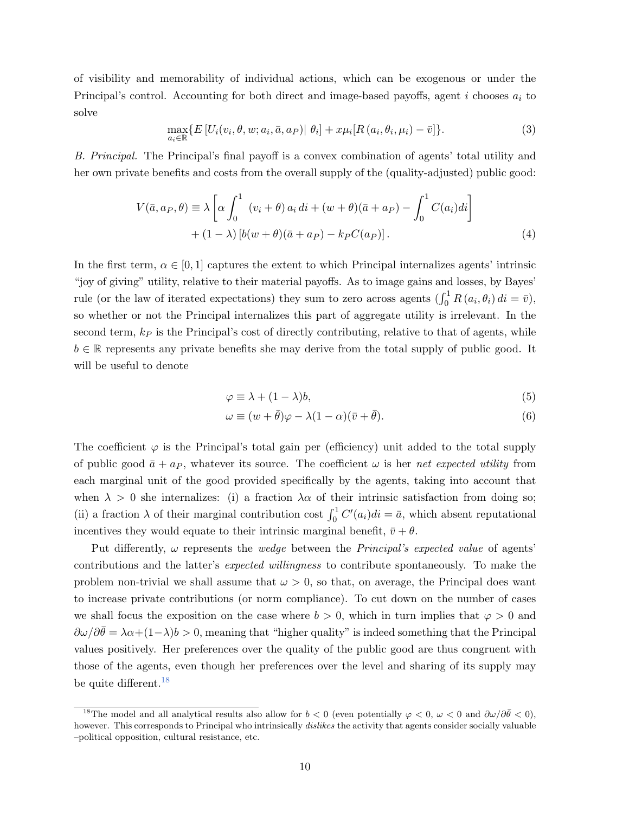of visibility and memorability of individual actions, which can be exogenous or under the Principal's control. Accounting for both direct and image-based payoffs, agent  $i$  chooses  $a_i$  to solve

<span id="page-12-1"></span>
$$
\max_{a_i \in \mathbb{R}} \{ E \left[ U_i(v_i, \theta, w; a_i, \bar{a}, a_P) \middle| \theta_i \right] + x \mu_i [R \left( a_i, \theta_i, \mu_i \right) - \bar{v} ] \}. \tag{3}
$$

B. Principal. The Principal's final payoff is a convex combination of agents' total utility and her own private benefits and costs from the overall supply of the (quality-adjusted) public good:

$$
V(\bar{a}, a_P, \theta) \equiv \lambda \left[ \alpha \int_0^1 (v_i + \theta) a_i \, di + (w + \theta)(\bar{a} + a_P) - \int_0^1 C(a_i) \, di \right] + (1 - \lambda) \left[ b(w + \theta)(\bar{a} + a_P) - k_P C(a_P) \right]. \tag{4}
$$

In the first term,  $\alpha \in [0, 1]$  captures the extent to which Principal internalizes agents' intrinsic "joy of giving" utility, relative to their material payoffs. As to image gains and losses, by Bayes' rule (or the law of iterated expectations) they sum to zero across agents  $(\int_0^1 R(a_i, \theta_i) di = \overline{v})$ , so whether or not the Principal internalizes this part of aggregate utility is irrelevant. In the second term,  $k_P$  is the Principal's cost of directly contributing, relative to that of agents, while  $b \in \mathbb{R}$  represents any private benefits she may derive from the total supply of public good. It will be useful to denote

<span id="page-12-4"></span><span id="page-12-3"></span><span id="page-12-2"></span>
$$
\varphi \equiv \lambda + (1 - \lambda)b,\tag{5}
$$

$$
\omega \equiv (w + \bar{\theta})\varphi - \lambda(1 - \alpha)(\bar{v} + \bar{\theta}). \tag{6}
$$

The coefficient  $\varphi$  is the Principal's total gain per (efficiency) unit added to the total supply of public good  $\bar{a} + a_P$ , whatever its source. The coefficient  $\omega$  is her net expected utility from each marginal unit of the good provided specifically by the agents, taking into account that when  $\lambda > 0$  she internalizes: (i) a fraction  $\lambda \alpha$  of their intrinsic satisfaction from doing so; (ii) a fraction  $\lambda$  of their marginal contribution cost  $\int_0^1 C'(a_i)di = \bar{a}$ , which absent reputational incentives they would equate to their intrinsic marginal benefit,  $\bar{v} + \theta$ .

Put differently,  $\omega$  represents the *wedge* between the *Principal's expected value* of agents' contributions and the latter's expected willingness to contribute spontaneously. To make the problem non-trivial we shall assume that  $\omega > 0$ , so that, on average, the Principal does want to increase private contributions (or norm compliance). To cut down on the number of cases we shall focus the exposition on the case where  $b > 0$ , which in turn implies that  $\varphi > 0$  and  $\partial \omega/\partial \bar{\theta} = \lambda \alpha + (1-\lambda)b > 0$ , meaning that "higher quality" is indeed something that the Principal values positively. Her preferences over the quality of the public good are thus congruent with those of the agents, even though her preferences over the level and sharing of its supply may be quite different.<sup>[18](#page-12-0)</sup>

<span id="page-12-0"></span><sup>&</sup>lt;sup>18</sup>The model and all analytical results also allow for  $b < 0$  (even potentially  $\varphi < 0$ ,  $\omega < 0$  and  $\frac{\partial \omega}{\partial \theta} < 0$ ), however. This corresponds to Principal who intrinsically *dislikes* the activity that agents consider socially valuable –political opposition, cultural resistance, etc.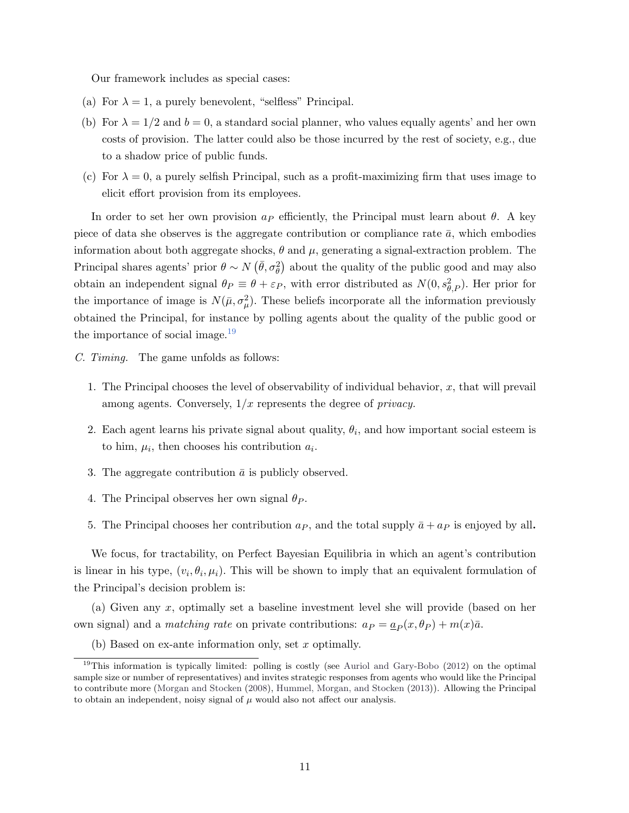Our framework includes as special cases:

- (a) For  $\lambda = 1$ , a purely benevolent, "selfless" Principal.
- (b) For  $\lambda = 1/2$  and  $b = 0$ , a standard social planner, who values equally agents' and her own costs of provision. The latter could also be those incurred by the rest of society, e.g., due to a shadow price of public funds.
- (c) For  $\lambda = 0$ , a purely selfish Principal, such as a profit-maximizing firm that uses image to elicit effort provision from its employees.

In order to set her own provision  $a_P$  efficiently, the Principal must learn about  $\theta$ . A key piece of data she observes is the aggregate contribution or compliance rate  $\bar{a}$ , which embodies information about both aggregate shocks,  $\theta$  and  $\mu$ , generating a signal-extraction problem. The Principal shares agents' prior  $\theta \sim N(\bar{\theta}, \sigma_{\theta}^2)$  about the quality of the public good and may also obtain an independent signal  $\theta_P \equiv \theta + \varepsilon_P$ , with error distributed as  $N(0, s_{\theta,P}^2)$ . Her prior for the importance of image is  $N(\bar{\mu}, \sigma_{\mu}^2)$ . These beliefs incorporate all the information previously obtained the Principal, for instance by polling agents about the quality of the public good or the importance of social image. $19$ 

- C. Timing. The game unfolds as follows:
	- 1. The Principal chooses the level of observability of individual behavior, x, that will prevail among agents. Conversely,  $1/x$  represents the degree of *privacy*.
	- 2. Each agent learns his private signal about quality,  $\theta_i$ , and how important social esteem is to him,  $\mu_i$ , then chooses his contribution  $a_i$ .
	- 3. The aggregate contribution  $\bar{a}$  is publicly observed.
	- 4. The Principal observes her own signal  $\theta_P$ .
	- 5. The Principal chooses her contribution  $a_P$ , and the total supply  $\bar{a} + a_P$  is enjoyed by all.

We focus, for tractability, on Perfect Bayesian Equilibria in which an agent's contribution is linear in his type,  $(v_i, \theta_i, \mu_i)$ . This will be shown to imply that an equivalent formulation of the Principal's decision problem is:

(a) Given any x, optimally set a baseline investment level she will provide (based on her own signal) and a *matching rate* on private contributions:  $a_P = \underline{a}_P(x, \theta_P) + m(x)\overline{a}$ .

<span id="page-13-0"></span>(b) Based on ex-ante information only, set x optimally.

<sup>&</sup>lt;sup>19</sup>This information is typically limited: polling is costly (see [Auriol and Gary-Bobo](#page-34-18) [\(2012\)](#page-34-18) on the optimal sample size or number of representatives) and invites strategic responses from agents who would like the Principal to contribute more [\(Morgan and Stocken](#page-36-19) [\(2008\)](#page-36-19), [Hummel, Morgan, and Stocken](#page-35-15) [\(2013\)](#page-35-15)). Allowing the Principal to obtain an independent, noisy signal of  $\mu$  would also not affect our analysis.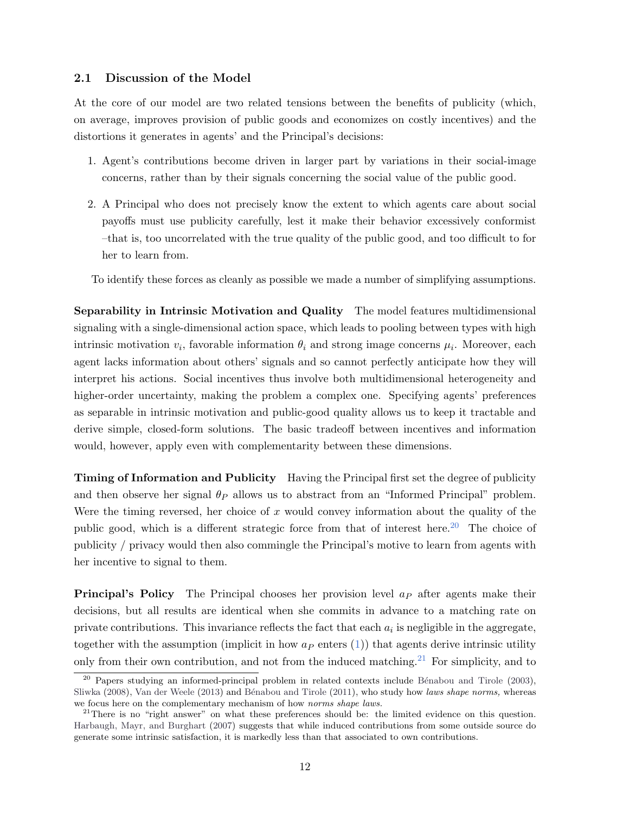#### <span id="page-14-0"></span>2.1 Discussion of the Model

At the core of our model are two related tensions between the benefits of publicity (which, on average, improves provision of public goods and economizes on costly incentives) and the distortions it generates in agents' and the Principal's decisions:

- 1. Agent's contributions become driven in larger part by variations in their social-image concerns, rather than by their signals concerning the social value of the public good.
- 2. A Principal who does not precisely know the extent to which agents care about social payoffs must use publicity carefully, lest it make their behavior excessively conformist –that is, too uncorrelated with the true quality of the public good, and too difficult to for her to learn from.

To identify these forces as cleanly as possible we made a number of simplifying assumptions.

Separability in Intrinsic Motivation and Quality The model features multidimensional signaling with a single-dimensional action space, which leads to pooling between types with high intrinsic motivation  $v_i$ , favorable information  $\theta_i$  and strong image concerns  $\mu_i$ . Moreover, each agent lacks information about others' signals and so cannot perfectly anticipate how they will interpret his actions. Social incentives thus involve both multidimensional heterogeneity and higher-order uncertainty, making the problem a complex one. Specifying agents' preferences as separable in intrinsic motivation and public-good quality allows us to keep it tractable and derive simple, closed-form solutions. The basic tradeoff between incentives and information would, however, apply even with complementarity between these dimensions.

Timing of Information and Publicity Having the Principal first set the degree of publicity and then observe her signal  $\theta_P$  allows us to abstract from an "Informed Principal" problem. Were the timing reversed, her choice of  $x$  would convey information about the quality of the public good, which is a different strategic force from that of interest here.<sup>[20](#page-14-1)</sup> The choice of publicity / privacy would then also commingle the Principal's motive to learn from agents with her incentive to signal to them.

**Principal's Policy** The Principal chooses her provision level  $a<sub>P</sub>$  after agents make their decisions, but all results are identical when she commits in advance to a matching rate on private contributions. This invariance reflects the fact that each  $a_i$  is negligible in the aggregate, together with the assumption (implicit in how  $a<sub>P</sub>$  enters [\(1\)](#page-10-2)) that agents derive intrinsic utility only from their own contribution, and not from the induced matching.<sup>[21](#page-14-2)</sup> For simplicity, and to

<span id="page-14-1"></span> $^{20}$  Papers studying an informed-principal problem in related contexts include Bénabou and Tirole [\(2003\)](#page-34-19), [Sliwka](#page-36-20) [\(2008\)](#page-36-20), [Van der Weele](#page-36-21) [\(2013\)](#page-36-21) and Bénabou and Tirole [\(2011\)](#page-34-14), who study how laws shape norms, whereas we focus here on the complementary mechanism of how norms shape laws.

<span id="page-14-2"></span><sup>&</sup>lt;sup>21</sup>There is no "right answer" on what these preferences should be: the limited evidence on this question. [Harbaugh, Mayr, and Burghart](#page-35-16) [\(2007\)](#page-35-16) suggests that while induced contributions from some outside source do generate some intrinsic satisfaction, it is markedly less than that associated to own contributions.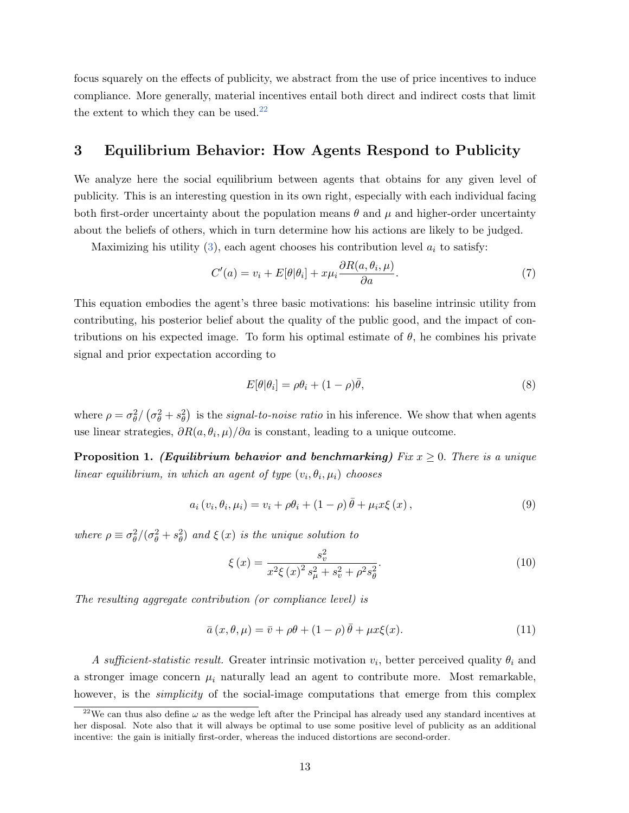focus squarely on the effects of publicity, we abstract from the use of price incentives to induce compliance. More generally, material incentives entail both direct and indirect costs that limit the extent to which they can be used. $^{22}$  $^{22}$  $^{22}$ 

### 3 Equilibrium Behavior: How Agents Respond to Publicity

We analyze here the social equilibrium between agents that obtains for any given level of publicity. This is an interesting question in its own right, especially with each individual facing both first-order uncertainty about the population means  $\theta$  and  $\mu$  and higher-order uncertainty about the beliefs of others, which in turn determine how his actions are likely to be judged.

Maximizing his utility [\(3\)](#page-12-1), each agent chooses his contribution level  $a_i$  to satisfy:

$$
C'(a) = v_i + E[\theta|\theta_i] + x\mu_i \frac{\partial R(a, \theta_i, \mu)}{\partial a}.
$$
\n(7)

This equation embodies the agent's three basic motivations: his baseline intrinsic utility from contributing, his posterior belief about the quality of the public good, and the impact of contributions on his expected image. To form his optimal estimate of  $\theta$ , he combines his private signal and prior expectation according to

$$
E[\theta|\theta_i] = \rho\theta_i + (1 - \rho)\bar{\theta},\tag{8}
$$

where  $\rho = \frac{\sigma_{\theta}^2}{\sigma_{\theta}^2 + s_{\theta}^2}$  is the *signal-to-noise ratio* in his inference. We show that when agents use linear strategies,  $\partial R(a, \theta_i, \mu)/\partial a$  is constant, leading to a unique outcome.

<span id="page-15-4"></span>**Proposition 1.** (Equilibrium behavior and benchmarking) Fix  $x \geq 0$ . There is a unique linear equilibrium, in which an agent of type  $(v_i, \theta_i, \mu_i)$  chooses

<span id="page-15-1"></span>
$$
a_i(v_i, \theta_i, \mu_i) = v_i + \rho \theta_i + (1 - \rho) \overline{\theta} + \mu_i x \xi(x), \qquad (9)
$$

where  $\rho \equiv \sigma_{\theta}^2/(\sigma_{\theta}^2 + s_{\theta}^2)$  and  $\xi(x)$  is the unique solution to

<span id="page-15-2"></span>
$$
\xi(x) = \frac{s_v^2}{x^2 \xi(x)^2 s_\mu^2 + s_v^2 + \rho^2 s_\theta^2}.
$$
\n(10)

The resulting aggregate contribution (or compliance level) is

<span id="page-15-3"></span>
$$
\bar{a}(x,\theta,\mu) = \bar{v} + \rho\theta + (1-\rho)\bar{\theta} + \mu x\xi(x). \tag{11}
$$

A sufficient-statistic result. Greater intrinsic motivation  $v_i$ , better perceived quality  $\theta_i$  and a stronger image concern  $\mu_i$  naturally lead an agent to contribute more. Most remarkable, however, is the *simplicity* of the social-image computations that emerge from this complex

<span id="page-15-0"></span><sup>&</sup>lt;sup>22</sup>We can thus also define  $\omega$  as the wedge left after the Principal has already used any standard incentives at her disposal. Note also that it will always be optimal to use some positive level of publicity as an additional incentive: the gain is initially first-order, whereas the induced distortions are second-order.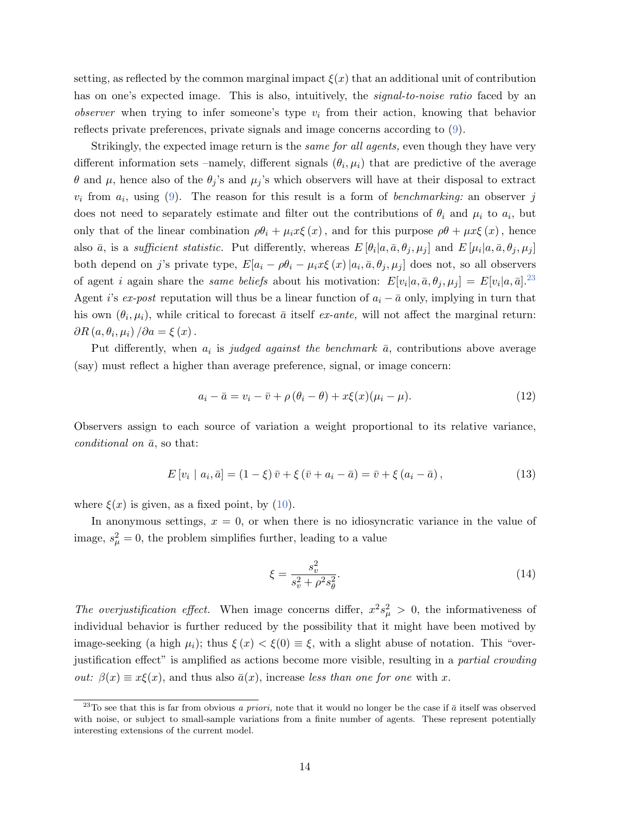setting, as reflected by the common marginal impact  $\xi(x)$  that an additional unit of contribution has on one's expected image. This is also, intuitively, the *signal-to-noise ratio* faced by an observer when trying to infer someone's type  $v_i$  from their action, knowing that behavior reflects private preferences, private signals and image concerns according to [\(9\)](#page-15-1).

Strikingly, the expected image return is the same for all agents, even though they have very different information sets –namely, different signals  $(\theta_i, \mu_i)$  that are predictive of the average  $θ$  and  $μ$ , hence also of the  $θ<sub>j</sub>$ 's and  $μ<sub>j</sub>$ 's which observers will have at their disposal to extract  $v_i$  from  $a_i$ , using [\(9\)](#page-15-1). The reason for this result is a form of *benchmarking*: an observer j does not need to separately estimate and filter out the contributions of  $\theta_i$  and  $\mu_i$  to  $a_i$ , but only that of the linear combination  $\rho \theta_i + \mu_i x \xi(x)$ , and for this purpose  $\rho \theta + \mu x \xi(x)$ , hence also  $\bar{a}$ , is a sufficient statistic. Put differently, whereas  $E[\theta_i|a, \bar{a}, \theta_j, \mu_j]$  and  $E[\mu_i|a, \bar{a}, \theta_j, \mu_j]$ both depend on j's private type,  $E[a_i - \rho \theta_i - \mu_i x \xi(x) | a_i, \bar{a}, \theta_j, \mu_j]$  does not, so all observers of agent *i* again share the *same beliefs* about his motivation:  $E[v_i|a, \bar{a}, \theta_j, \mu_j] = E[v_i|a, \bar{a}]^{23}$  $E[v_i|a, \bar{a}, \theta_j, \mu_j] = E[v_i|a, \bar{a}]^{23}$  $E[v_i|a, \bar{a}, \theta_j, \mu_j] = E[v_i|a, \bar{a}]^{23}$ Agent i's ex-post reputation will thus be a linear function of  $a_i - \bar{a}$  only, implying in turn that his own  $(\theta_i, \mu_i)$ , while critical to forecast  $\bar{a}$  itself ex-ante, will not affect the marginal return:  $\partial R(a, \theta_i, \mu_i) / \partial a = \xi(x)$ .

Put differently, when  $a_i$  is judged against the benchmark  $\bar{a}$ , contributions above average (say) must reflect a higher than average preference, signal, or image concern:

$$
a_i - \bar{a} = v_i - \bar{v} + \rho \left(\theta_i - \theta\right) + x\xi(x)(\mu_i - \mu). \tag{12}
$$

Observers assign to each source of variation a weight proportional to its relative variance, conditional on  $\bar{a}$ , so that:

$$
E[v_i \mid a_i, \bar{a}] = (1 - \xi)\bar{v} + \xi(\bar{v} + a_i - \bar{a}) = \bar{v} + \xi(a_i - \bar{a}), \qquad (13)
$$

where  $\xi(x)$  is given, as a fixed point, by [\(10\)](#page-15-2).

In anonymous settings,  $x = 0$ , or when there is no idiosyncratic variance in the value of image,  $s_{\mu}^2 = 0$ , the problem simplifies further, leading to a value

<span id="page-16-1"></span>
$$
\xi = \frac{s_v^2}{s_v^2 + \rho^2 s_\theta^2}.\tag{14}
$$

The overjustification effect. When image concerns differ,  $x^2 s_\mu^2 > 0$ , the informativeness of individual behavior is further reduced by the possibility that it might have been motived by image-seeking (a high  $\mu_i$ ); thus  $\xi(x) < \xi(0) \equiv \xi$ , with a slight abuse of notation. This "overjustification effect" is amplified as actions become more visible, resulting in a partial crowding *out:*  $\beta(x) \equiv x\xi(x)$ , and thus also  $\bar{a}(x)$ , increase less than one for one with x.

<span id="page-16-0"></span><sup>&</sup>lt;sup>23</sup>To see that this is far from obvious *a priori*, note that it would no longer be the case if  $\bar{a}$  itself was observed with noise, or subject to small-sample variations from a finite number of agents. These represent potentially interesting extensions of the current model.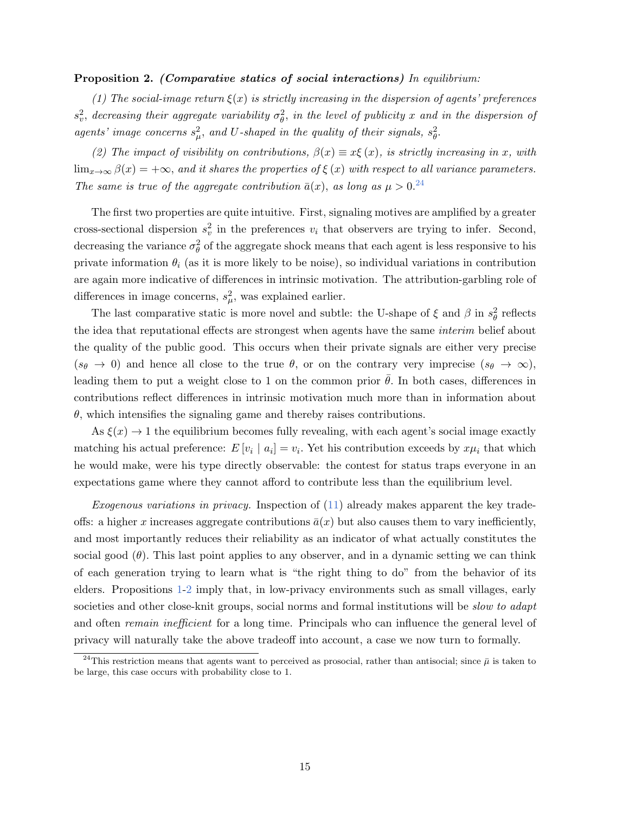#### <span id="page-17-1"></span>Proposition 2. (Comparative statics of social interactions) In equilibrium:

(1) The social-image return  $\xi(x)$  is strictly increasing in the dispersion of agents' preferences  $s_v^2$ , decreasing their aggregate variability  $\sigma_\theta^2$ , in the level of publicity x and in the dispersion of agents' image concerns  $s_{\mu}^2$ , and U-shaped in the quality of their signals,  $s_{\theta}^2$ .

(2) The impact of visibility on contributions,  $\beta(x) \equiv x\xi(x)$ , is strictly increasing in x, with  $\lim_{x\to\infty} \beta(x) = +\infty$ , and it shares the properties of  $\xi(x)$  with respect to all variance parameters. The same is true of the aggregate contribution  $\bar{a}(x)$ , as long as  $\mu > 0^{24}$  $\mu > 0^{24}$  $\mu > 0^{24}$ 

The first two properties are quite intuitive. First, signaling motives are amplified by a greater cross-sectional dispersion  $s_v^2$  in the preferences  $v_i$  that observers are trying to infer. Second, decreasing the variance  $\sigma_{\theta}^2$  of the aggregate shock means that each agent is less responsive to his private information  $\theta_i$  (as it is more likely to be noise), so individual variations in contribution are again more indicative of differences in intrinsic motivation. The attribution-garbling role of differences in image concerns,  $s_{\mu}^2$ , was explained earlier.

The last comparative static is more novel and subtle: the U-shape of  $\xi$  and  $\beta$  in  $s_\theta^2$  reflects the idea that reputational effects are strongest when agents have the same *interim* belief about the quality of the public good. This occurs when their private signals are either very precise  $(s_{\theta} \rightarrow 0)$  and hence all close to the true  $\theta$ , or on the contrary very imprecise  $(s_{\theta} \rightarrow \infty)$ , leading them to put a weight close to 1 on the common prior  $\bar{\theta}$ . In both cases, differences in contributions reflect differences in intrinsic motivation much more than in information about  $\theta$ , which intensifies the signaling game and thereby raises contributions.

As  $\xi(x) \to 1$  the equilibrium becomes fully revealing, with each agent's social image exactly matching his actual preference:  $E[v_i | a_i] = v_i$ . Yet his contribution exceeds by  $x\mu_i$  that which he would make, were his type directly observable: the contest for status traps everyone in an expectations game where they cannot afford to contribute less than the equilibrium level.

Exogenous variations in privacy. Inspection of  $(11)$  already makes apparent the key tradeoffs: a higher x increases aggregate contributions  $\bar{a}(x)$  but also causes them to vary inefficiently, and most importantly reduces their reliability as an indicator of what actually constitutes the social good  $(\theta)$ . This last point applies to any observer, and in a dynamic setting we can think of each generation trying to learn what is "the right thing to do" from the behavior of its elders. Propositions [1-](#page-15-4)[2](#page-17-1) imply that, in low-privacy environments such as small villages, early societies and other close-knit groups, social norms and formal institutions will be *slow to adapt* and often *remain inefficient* for a long time. Principals who can influence the general level of privacy will naturally take the above tradeoff into account, a case we now turn to formally.

<span id="page-17-0"></span><sup>&</sup>lt;sup>24</sup>This restriction means that agents want to perceived as prosocial, rather than antisocial; since  $\bar{\mu}$  is taken to be large, this case occurs with probability close to 1.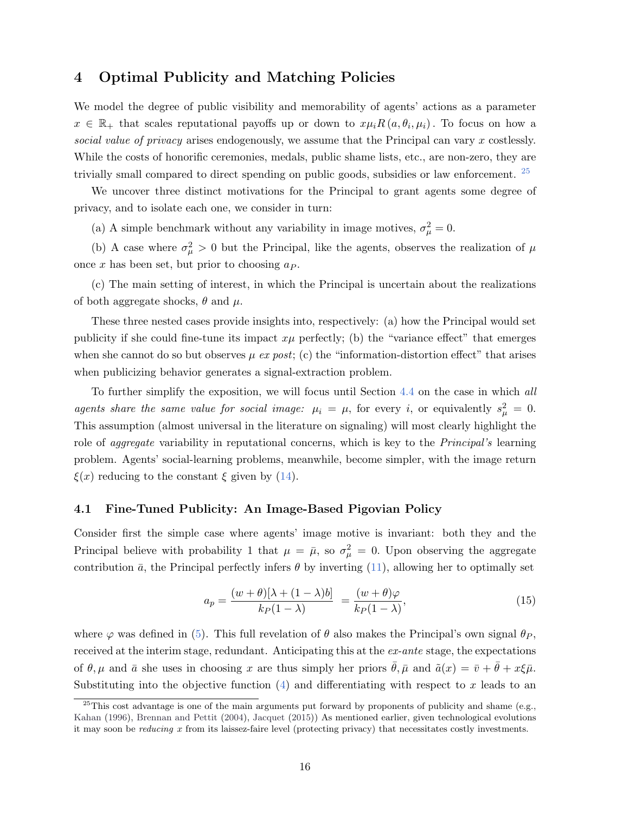## 4 Optimal Publicity and Matching Policies

We model the degree of public visibility and memorability of agents' actions as a parameter  $x \in \mathbb{R}_+$  that scales reputational payoffs up or down to  $x \mu_i R(a, \theta_i, \mu_i)$ . To focus on how a social value of privacy arises endogenously, we assume that the Principal can vary  $x$  costlessly. While the costs of honorific ceremonies, medals, public shame lists, etc., are non-zero, they are trivially small compared to direct spending on public goods, subsidies or law enforcement. [25](#page-18-0)

We uncover three distinct motivations for the Principal to grant agents some degree of privacy, and to isolate each one, we consider in turn:

(a) A simple benchmark without any variability in image motives,  $\sigma_{\mu}^2 = 0$ .

(b) A case where  $\sigma_{\mu}^2 > 0$  but the Principal, like the agents, observes the realization of  $\mu$ once  $x$  has been set, but prior to choosing  $a_P$ .

(c) The main setting of interest, in which the Principal is uncertain about the realizations of both aggregate shocks,  $\theta$  and  $\mu$ .

These three nested cases provide insights into, respectively: (a) how the Principal would set publicity if she could fine-tune its impact  $x\mu$  perfectly; (b) the "variance effect" that emerges when she cannot do so but observes  $\mu$  ex post; (c) the "information-distortion effect" that arises when publicizing behavior generates a signal-extraction problem.

To further simplify the exposition, we will focus until Section [4.4](#page-22-0) on the case in which all agents share the same value for social image:  $\mu_i = \mu$ , for every i, or equivalently  $s_{\mu}^2 = 0$ . This assumption (almost universal in the literature on signaling) will most clearly highlight the role of *aggregate* variability in reputational concerns, which is key to the *Principal's* learning problem. Agents' social-learning problems, meanwhile, become simpler, with the image return  $\xi(x)$  reducing to the constant  $\xi$  given by [\(14\)](#page-16-1).

#### 4.1 Fine-Tuned Publicity: An Image-Based Pigovian Policy

Consider first the simple case where agents' image motive is invariant: both they and the Principal believe with probability 1 that  $\mu = \bar{\mu}$ , so  $\sigma_{\mu}^2 = 0$ . Upon observing the aggregate contribution  $\bar{a}$ , the Principal perfectly infers  $\theta$  by inverting [\(11\)](#page-15-3), allowing her to optimally set

<span id="page-18-1"></span>
$$
a_p = \frac{(w+\theta)[\lambda + (1-\lambda)b]}{k_P(1-\lambda)} = \frac{(w+\theta)\varphi}{k_P(1-\lambda)},
$$
\n(15)

where  $\varphi$  was defined in [\(5\)](#page-12-2). This full revelation of  $\theta$  also makes the Principal's own signal  $\theta_P$ , received at the interim stage, redundant. Anticipating this at the ex-ante stage, the expectations of  $\theta$ ,  $\mu$  and  $\bar{a}$  she uses in choosing x are thus simply her priors  $\bar{\theta}$ ,  $\bar{\mu}$  and  $\tilde{a}(x) = \bar{v} + \bar{\theta} + x\xi\bar{\mu}$ . Substituting into the objective function  $(4)$  and differentiating with respect to x leads to an

<span id="page-18-0"></span> $^{25}$ This cost advantage is one of the main arguments put forward by proponents of publicity and shame (e.g., [Kahan](#page-35-3) [\(1996\)](#page-35-3), [Brennan and Pettit](#page-34-3) [\(2004\)](#page-34-3), [Jacquet](#page-35-5) [\(2015\)](#page-35-5)) As mentioned earlier, given technological evolutions it may soon be *reducing*  $x$  from its laissez-faire level (protecting privacy) that necessitates costly investments.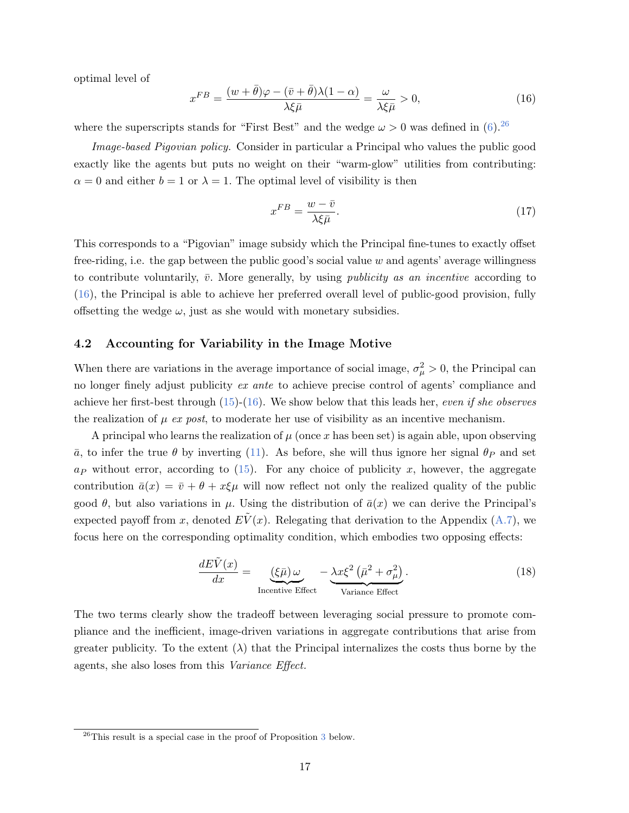optimal level of

<span id="page-19-1"></span>
$$
x^{FB} = \frac{(w + \bar{\theta})\varphi - (\bar{v} + \bar{\theta})\lambda(1 - \alpha)}{\lambda \xi \bar{\mu}} = \frac{\omega}{\lambda \xi \bar{\mu}} > 0,
$$
\n(16)

where the superscripts stands for "First Best" and the wedge  $\omega > 0$  was defined in [\(6\)](#page-12-4).<sup>[26](#page-19-0)</sup>

Image-based Pigovian policy. Consider in particular a Principal who values the public good exactly like the agents but puts no weight on their "warm-glow" utilities from contributing:  $\alpha = 0$  and either  $b = 1$  or  $\lambda = 1$ . The optimal level of visibility is then

$$
x^{FB} = \frac{w - \bar{v}}{\lambda \xi \bar{\mu}}.\tag{17}
$$

This corresponds to a "Pigovian" image subsidy which the Principal fine-tunes to exactly offset free-riding, i.e. the gap between the public good's social value  $w$  and agents' average willingness to contribute voluntarily,  $\bar{v}$ . More generally, by using *publicity as an incentive* according to [\(16\)](#page-19-1), the Principal is able to achieve her preferred overall level of public-good provision, fully offsetting the wedge  $\omega$ , just as she would with monetary subsidies.

#### <span id="page-19-3"></span>4.2 Accounting for Variability in the Image Motive

When there are variations in the average importance of social image,  $\sigma_{\mu}^2 > 0$ , the Principal can no longer finely adjust publicity ex ante to achieve precise control of agents' compliance and achieve her first-best through  $(15)-(16)$  $(15)-(16)$  $(15)-(16)$ . We show below that this leads her, even if she observes the realization of  $\mu$  ex post, to moderate her use of visibility as an incentive mechanism.

A principal who learns the realization of  $\mu$  (once x has been set) is again able, upon observing  $\bar{a}$ , to infer the true  $\theta$  by inverting [\(11\)](#page-15-3). As before, she will thus ignore her signal  $\theta_P$  and set  $a_P$  without error, according to [\(15\)](#page-18-1). For any choice of publicity x, however, the aggregate contribution  $\bar{a}(x) = \bar{v} + \theta + x\xi\mu$  will now reflect not only the realized quality of the public good  $\theta$ , but also variations in  $\mu$ . Using the distribution of  $\bar{a}(x)$  we can derive the Principal's expected payoff from x, denoted  $EV(x)$ . Relegating that derivation to the Appendix [\(A.7\)](#page-28-0), we focus here on the corresponding optimality condition, which embodies two opposing effects:

<span id="page-19-2"></span>
$$
\frac{dE\tilde{V}(x)}{dx} = \underbrace{(\xi\bar{\mu})\,\omega}_{\text{Incentive Effect}} - \underbrace{\lambda x\xi^2\left(\bar{\mu}^2 + \sigma_{\mu}^2\right)}_{\text{Variance Effect}}.
$$
\n(18)

The two terms clearly show the tradeoff between leveraging social pressure to promote compliance and the inefficient, image-driven variations in aggregate contributions that arise from greater publicity. To the extent  $(\lambda)$  that the Principal internalizes the costs thus borne by the agents, she also loses from this Variance Effect.

<span id="page-19-0"></span> $^{26}$ This result is a special case in the proof of Proposition [3](#page-20-0) below.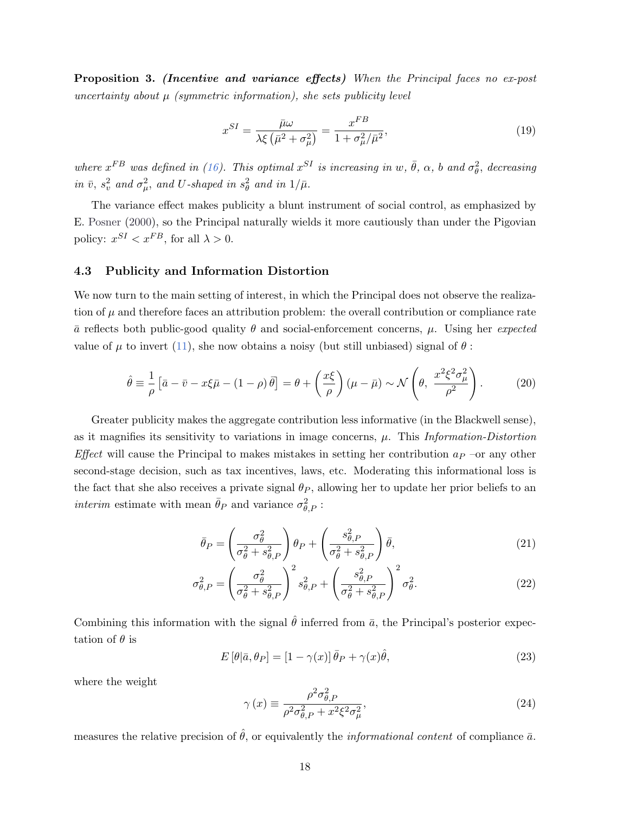<span id="page-20-0"></span>Proposition 3. (Incentive and variance effects) When the Principal faces no ex-post uncertainty about  $\mu$  (symmetric information), she sets publicity level

<span id="page-20-5"></span>
$$
x^{SI} = \frac{\bar{\mu}\omega}{\lambda\xi \left(\bar{\mu}^2 + \sigma_{\mu}^2\right)} = \frac{x^{FB}}{1 + \sigma_{\mu}^2/\bar{\mu}^2},\tag{19}
$$

where  $x^{FB}$  was defined in [\(16\)](#page-19-1). This optimal  $x^{SI}$  is increasing in w,  $\bar{\theta}$ ,  $\alpha$ , b and  $\sigma_{\theta}^2$ , decreasing in  $\bar{v}$ ,  $s_v^2$  and  $\sigma_{\mu}^2$ , and U-shaped in  $s_{\theta}^2$  and in  $1/\bar{\mu}$ .

The variance effect makes publicity a blunt instrument of social control, as emphasized by E. [Posner](#page-36-5) [\(2000\)](#page-36-5), so the Principal naturally wields it more cautiously than under the Pigovian policy:  $x^{SI} < x^{FB}$ , for all  $\lambda > 0$ .

#### 4.3 Publicity and Information Distortion

We now turn to the main setting of interest, in which the Principal does not observe the realization of  $\mu$  and therefore faces an attribution problem: the overall contribution or compliance rate  $\bar{a}$  reflects both public-good quality  $\theta$  and social-enforcement concerns,  $\mu$ . Using her expected value of  $\mu$  to invert [\(11\)](#page-15-3), she now obtains a noisy (but still unbiased) signal of  $\theta$ :

<span id="page-20-1"></span>
$$
\hat{\theta} \equiv \frac{1}{\rho} \left[ \bar{a} - \bar{v} - x\xi\bar{\mu} - (1 - \rho)\bar{\theta} \right] = \theta + \left( \frac{x\xi}{\rho} \right) (\mu - \bar{\mu}) \sim \mathcal{N} \left( \theta, \frac{x^2 \xi^2 \sigma_{\mu}^2}{\rho^2} \right). \tag{20}
$$

Greater publicity makes the aggregate contribution less informative (in the Blackwell sense), as it magnifies its sensitivity to variations in image concerns,  $\mu$ . This *Information-Distortion* Effect will cause the Principal to makes mistakes in setting her contribution  $a<sub>P</sub>$  –or any other second-stage decision, such as tax incentives, laws, etc. Moderating this informational loss is the fact that she also receives a private signal  $\theta_P$ , allowing her to update her prior beliefs to an *interim* estimate with mean  $\bar{\theta}_P$  and variance  $\sigma_{\theta,P}^2$ :

<span id="page-20-4"></span>
$$
\bar{\theta}_P = \left(\frac{\sigma_\theta^2}{\sigma_\theta^2 + s_{\theta,P}^2}\right)\theta_P + \left(\frac{s_{\theta,P}^2}{\sigma_\theta^2 + s_{\theta,P}^2}\right)\bar{\theta},\tag{21}
$$

$$
\sigma_{\theta,P}^2 = \left(\frac{\sigma_{\theta}^2}{\sigma_{\theta}^2 + s_{\theta,P}^2}\right)^2 s_{\theta,P}^2 + \left(\frac{s_{\theta,P}^2}{\sigma_{\theta}^2 + s_{\theta,P}^2}\right)^2 \sigma_{\theta}^2.
$$
\n(22)

Combining this information with the signal  $\hat{\theta}$  inferred from  $\bar{a}$ , the Principal's posterior expectation of  $\theta$  is

<span id="page-20-2"></span>
$$
E\left[\theta|\bar{a},\theta_{P}\right] = \left[1-\gamma(x)\right]\bar{\theta}_{P} + \gamma(x)\hat{\theta},\tag{23}
$$

where the weight

<span id="page-20-3"></span>
$$
\gamma(x) \equiv \frac{\rho^2 \sigma_{\theta, P}^2}{\rho^2 \sigma_{\theta, P}^2 + x^2 \xi^2 \sigma_{\mu}^2},\tag{24}
$$

measures the relative precision of  $\hat{\theta}$ , or equivalently the *informational content* of compliance  $\bar{a}$ .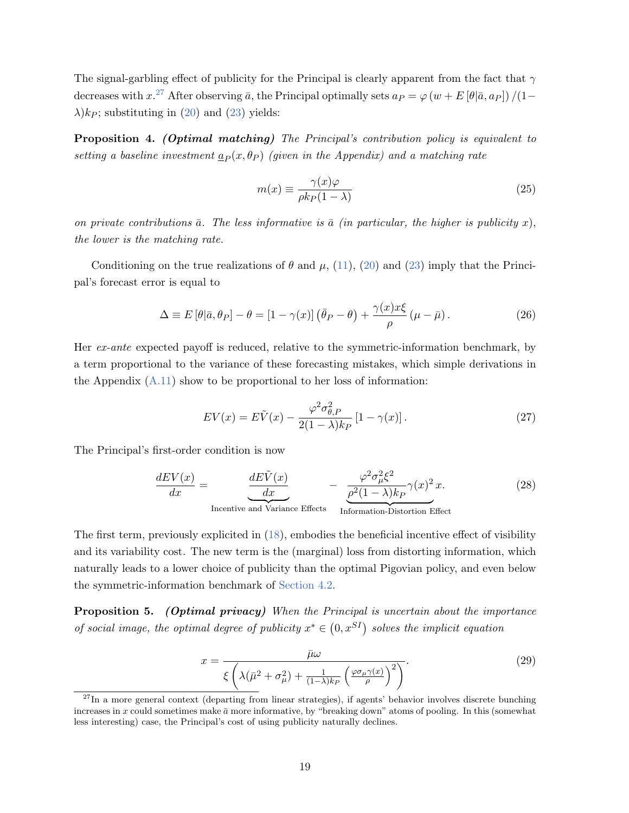The signal-garbling effect of publicity for the Principal is clearly apparent from the fact that  $\gamma$ decreases with x.<sup>[27](#page-21-0)</sup> After observing  $\bar{a}$ , the Principal optimally sets  $a_P = \varphi(w + E[\theta|\bar{a}, a_P])/(1-\pi)$  $\lambda$ )k<sub>P</sub>; substituting in [\(20\)](#page-20-1) and [\(23\)](#page-20-2) yields:

<span id="page-21-6"></span>Proposition 4. (Optimal matching) The Principal's contribution policy is equivalent to setting a baseline investment  $a_P(x, \theta_P)$  (given in the Appendix) and a matching rate

<span id="page-21-2"></span>
$$
m(x) \equiv \frac{\gamma(x)\varphi}{\rho k_P(1-\lambda)}\tag{25}
$$

on private contributions  $\bar{a}$ . The less informative is  $\bar{a}$  (in particular, the higher is publicity x), the lower is the matching rate.

Conditioning on the true realizations of  $\theta$  and  $\mu$ , [\(11\)](#page-15-3), [\(20\)](#page-20-1) and [\(23\)](#page-20-2) imply that the Principal's forecast error is equal to

<span id="page-21-7"></span>
$$
\Delta \equiv E\left[\theta\middle|\bar{a},\theta_{P}\right]-\theta=\left[1-\gamma(x)\right]\left(\bar{\theta}_{P}-\theta\right)+\frac{\gamma(x)x\xi}{\rho}\left(\mu-\bar{\mu}\right). \tag{26}
$$

Her ex-ante expected payoff is reduced, relative to the symmetric-information benchmark, by a term proportional to the variance of these forecasting mistakes, which simple derivations in the Appendix  $(A.11)$  show to be proportional to her loss of information:

<span id="page-21-3"></span>
$$
EV(x) = E\tilde{V}(x) - \frac{\varphi^2 \sigma_{\theta, P}^2}{2(1 - \lambda)k_P} \left[1 - \gamma(x)\right].
$$
\n(27)

The Principal's first-order condition is now

<span id="page-21-5"></span>
$$
\frac{dEV(x)}{dx} = \underbrace{\frac{dE\tilde{V}(x)}{dx}}_{\text{Incentive and Variance Effects}} - \underbrace{\frac{\varphi^2 \sigma_\mu^2 \xi^2}{\rho^2 (1 - \lambda) k_P} \gamma(x)^2 x.}_{\text{Information-Distortion Effect}}.
$$
(28)

The first term, previously explicited in [\(18\)](#page-19-2), embodies the beneficial incentive effect of visibility and its variability cost. The new term is the (marginal) loss from distorting information, which naturally leads to a lower choice of publicity than the optimal Pigovian policy, and even below the symmetric-information benchmark of [Section 4.2.](#page-19-3)

<span id="page-21-4"></span>**Proposition 5.** (Optimal privacy) When the Principal is uncertain about the importance of social image, the optimal degree of publicity  $x^* \in (0, x^{SI})$  solves the implicit equation

<span id="page-21-1"></span>
$$
x = \frac{\bar{\mu}\omega}{\xi \left(\lambda(\bar{\mu}^2 + \sigma_{\mu}^2) + \frac{1}{(1-\lambda)k_P} \left(\frac{\varphi \sigma_{\mu}\gamma(x)}{\rho}\right)^2\right)}.
$$
(29)

<span id="page-21-0"></span> $^{27}$ In a more general context (departing from linear strategies), if agents' behavior involves discrete bunching increases in x could sometimes make  $\bar{a}$  more informative, by "breaking down" atoms of pooling. In this (somewhat less interesting) case, the Principal's cost of using publicity naturally declines.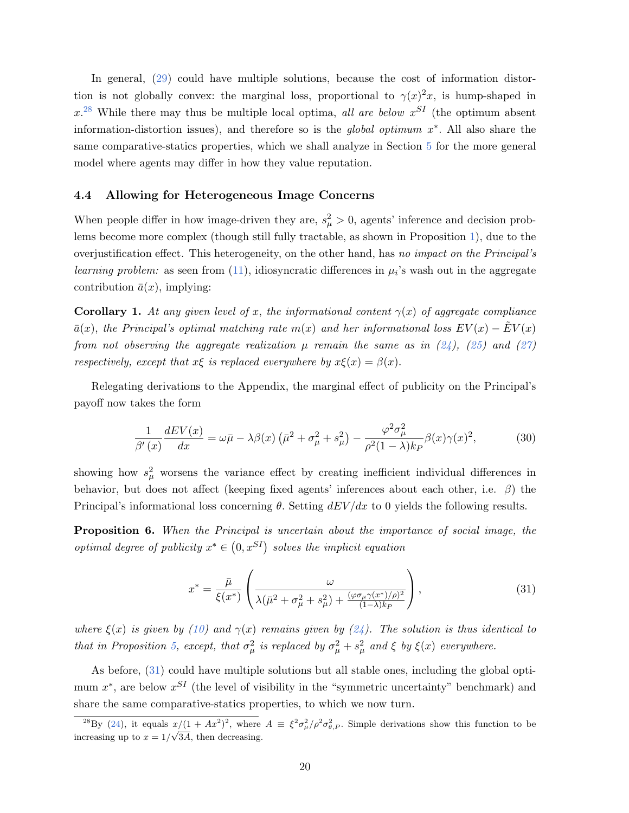In general, [\(29\)](#page-21-1) could have multiple solutions, because the cost of information distortion is not globally convex: the marginal loss, proportional to  $\gamma(x)^2 x$ , is hump-shaped in  $x^{28}$  $x^{28}$  $x^{28}$  While there may thus be multiple local optima, all are below  $x^{SI}$  (the optimum absent information-distortion issues), and therefore so is the *global optimum*  $x^*$ . All also share the same comparative-statics properties, which we shall analyze in Section [5](#page-23-0) for the more general model where agents may differ in how they value reputation.

#### <span id="page-22-0"></span>4.4 Allowing for Heterogeneous Image Concerns

When people differ in how image-driven they are,  $s_{\mu}^2 > 0$ , agents' inference and decision problems become more complex (though still fully tractable, as shown in Proposition [1\)](#page-15-4), due to the overjustification effect. This heterogeneity, on the other hand, has no impact on the Principal's *learning problem:* as seen from [\(11\)](#page-15-3), idiosyncratic differences in  $\mu_i$ 's wash out in the aggregate contribution  $\bar{a}(x)$ , implying:

**Corollary 1.** At any given level of x, the informational content  $\gamma(x)$  of aggregate compliance  $\bar{a}(x)$ , the Principal's optimal matching rate m(x) and her informational loss  $EV(x) - EV(x)$ from not observing the aggregate realization  $\mu$  remain the same as in [\(24\)](#page-20-3), [\(25\)](#page-21-2) and [\(27\)](#page-21-3) respectively, except that  $x\xi$  is replaced everywhere by  $x\xi(x) = \beta(x)$ .

Relegating derivations to the Appendix, the marginal effect of publicity on the Principal's payoff now takes the form

<span id="page-22-3"></span>
$$
\frac{1}{\beta'(x)}\frac{dEV(x)}{dx} = \omega\bar{\mu} - \lambda\beta(x)\left(\bar{\mu}^2 + \sigma_{\mu}^2 + s_{\mu}^2\right) - \frac{\varphi^2\sigma_{\mu}^2}{\rho^2(1-\lambda)k_P}\beta(x)\gamma(x)^2,\tag{30}
$$

showing how  $s_\mu^2$  worsens the variance effect by creating inefficient individual differences in behavior, but does not affect (keeping fixed agents' inferences about each other, i.e.  $\beta$ ) the Principal's informational loss concerning  $\theta$ . Setting  $dE V/dx$  to 0 yields the following results.

<span id="page-22-4"></span>Proposition 6. When the Principal is uncertain about the importance of social image, the optimal degree of publicity  $x^* \in (0, x^{SI})$  solves the implicit equation

<span id="page-22-2"></span>
$$
x^* = \frac{\bar{\mu}}{\xi(x^*)} \left( \frac{\omega}{\lambda(\bar{\mu}^2 + \sigma_{\mu}^2 + s_{\mu}^2) + \frac{(\varphi \sigma_{\mu} \gamma(x^*)/\rho)^2}{(1-\lambda)k_P}} \right),
$$
(31)

where  $\xi(x)$  is given by [\(10\)](#page-15-2) and  $\gamma(x)$  remains given by [\(24\)](#page-20-3). The solution is thus identical to that in Proposition [5,](#page-21-4) except, that  $\sigma_{\mu}^2$  is replaced by  $\sigma_{\mu}^2 + s_{\mu}^2$  and  $\xi$  by  $\xi(x)$  everywhere.

As before, [\(31\)](#page-22-2) could have multiple solutions but all stable ones, including the global optimum  $x^*$ , are below  $x^{SI}$  (the level of visibility in the "symmetric uncertainty" benchmark) and share the same comparative-statics properties, to which we now turn.

<span id="page-22-1"></span><sup>&</sup>lt;sup>28</sup>By [\(24\)](#page-20-3), it equals  $x/(1 + Ax^2)^2$ , where  $A = \xi^2 \sigma_\mu^2/\rho^2 \sigma_{\theta, P}^2$ . Simple derivations show this function to be increasing up to  $x = 1/\sqrt{3}A$ , then decreasing.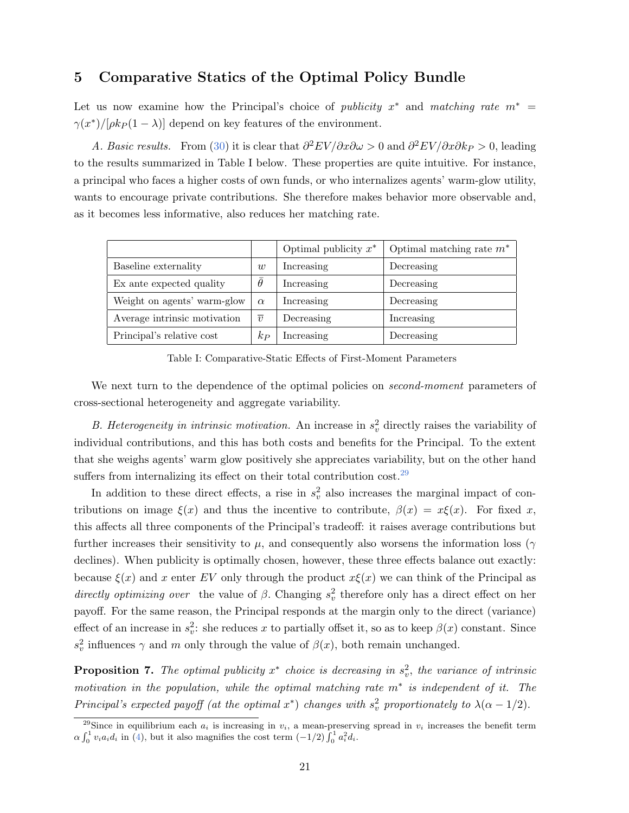## <span id="page-23-0"></span>5 Comparative Statics of the Optimal Policy Bundle

Let us now examine how the Principal's choice of *publicity*  $x^*$  and *matching rate*  $m^*$  =  $\gamma(x^*)/[\rho k_P(1-\lambda)]$  depend on key features of the environment.

A. Basic results. From [\(30\)](#page-22-3) it is clear that  $\partial^2 EV/\partial x \partial \omega > 0$  and  $\partial^2 EV/\partial x \partial k_P > 0$ , leading to the results summarized in Table I below. These properties are quite intuitive. For instance, a principal who faces a higher costs of own funds, or who internalizes agents' warm-glow utility, wants to encourage private contributions. She therefore makes behavior more observable and, as it becomes less informative, also reduces her matching rate.

|                              |                   | Optimal publicity $x^*$ | Optimal matching rate $m^*$ |
|------------------------------|-------------------|-------------------------|-----------------------------|
| Baseline externality         | w                 | Increasing              | Decreasing                  |
| Ex ante expected quality     |                   | Increasing              | Decreasing                  |
| Weight on agents' warm-glow  | $\alpha$          | Increasing              | Decreasing                  |
| Average intrinsic motivation | $\overline{\eta}$ | Decreasing              | Increasing                  |
| Principal's relative cost    | $k_{P}$           | Increasing              | Decreasing                  |

Table I: Comparative-Static Effects of First-Moment Parameters

We next turn to the dependence of the optimal policies on *second-moment* parameters of cross-sectional heterogeneity and aggregate variability.

B. Heterogeneity in intrinsic motivation. An increase in  $s_v^2$  directly raises the variability of individual contributions, and this has both costs and benefits for the Principal. To the extent that she weighs agents' warm glow positively she appreciates variability, but on the other hand suffers from internalizing its effect on their total contribution  $cost.^{29}$  $cost.^{29}$  $cost.^{29}$ 

In addition to these direct effects, a rise in  $s_v^2$  also increases the marginal impact of contributions on image  $\xi(x)$  and thus the incentive to contribute,  $\beta(x) = x\xi(x)$ . For fixed x, this affects all three components of the Principal's tradeoff: it raises average contributions but further increases their sensitivity to  $\mu$ , and consequently also worsens the information loss ( $\gamma$ declines). When publicity is optimally chosen, however, these three effects balance out exactly: because  $\xi(x)$  and x enter EV only through the product  $x\xi(x)$  we can think of the Principal as directly optimizing over the value of  $\beta$ . Changing  $s_v^2$  therefore only has a direct effect on her payoff. For the same reason, the Principal responds at the margin only to the direct (variance) effect of an increase in  $s_v^2$ : she reduces x to partially offset it, so as to keep  $\beta(x)$  constant. Since  $s_v^2$  influences  $\gamma$  and m only through the value of  $\beta(x)$ , both remain unchanged.

<span id="page-23-2"></span>**Proposition 7.** The optimal publicity  $x^*$  choice is decreasing in  $s_v^2$ , the variance of intrinsic motivation in the population, while the optimal matching rate m<sup>\*</sup> is independent of it. The Principal's expected payoff (at the optimal  $x^*$ ) changes with  $s_v^2$  proportionately to  $\lambda(\alpha-1/2)$ .

<span id="page-23-1"></span><sup>&</sup>lt;sup>29</sup>Since in equilibrium each  $a_i$  is increasing in  $v_i$ , a mean-preserving spread in  $v_i$  increases the benefit term  $\alpha \int_0^1 v_i a_i d_i$  in [\(4\)](#page-12-3), but it also magnifies the cost term  $(-1/2) \int_0^1 a_i^2 d_i$ .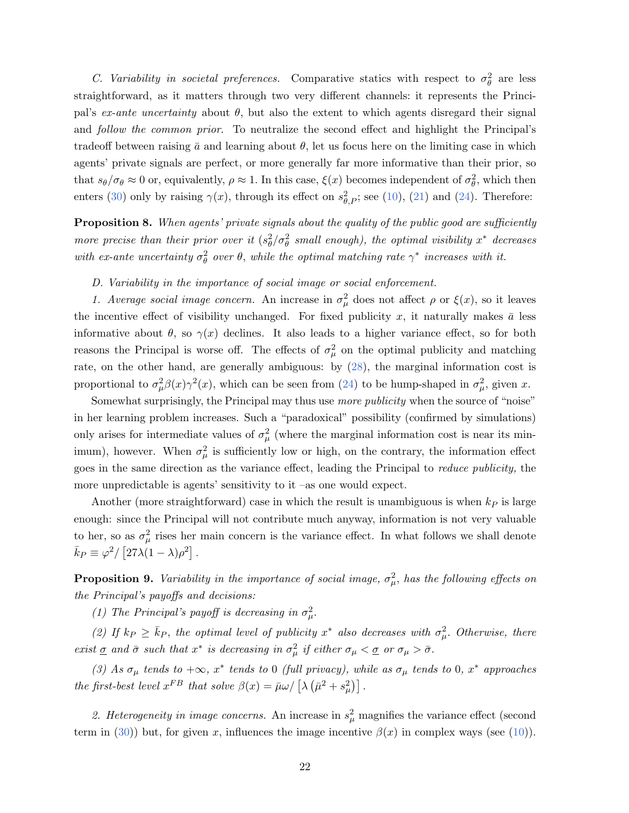C. Variability in societal preferences. Comparative statics with respect to  $\sigma_{\theta}^2$  are less straightforward, as it matters through two very different channels: it represents the Principal's ex-ante uncertainty about  $\theta$ , but also the extent to which agents disregard their signal and follow the common prior. To neutralize the second effect and highlight the Principal's tradeoff between raising  $\bar{a}$  and learning about  $\theta$ , let us focus here on the limiting case in which agents' private signals are perfect, or more generally far more informative than their prior, so that  $s_{\theta}/\sigma_{\theta} \approx 0$  or, equivalently,  $\rho \approx 1$ . In this case,  $\xi(x)$  becomes independent of  $\sigma_{\theta}^2$ , which then enters [\(30\)](#page-22-3) only by raising  $\gamma(x)$ , through its effect on  $s_{\theta,P}^2$ ; see [\(10\)](#page-15-2), [\(21\)](#page-20-4) and [\(24\)](#page-20-3). Therefore:

<span id="page-24-0"></span>**Proposition 8.** When agents' private signals about the quality of the public good are sufficiently more precise than their prior over it  $(s^2_\theta/\sigma^2_\theta$  small enough), the optimal visibility  $x^*$  decreases with ex-ante uncertainty  $\sigma_{\theta}^2$  over  $\theta$ , while the optimal matching rate  $\gamma^*$  increases with it.

D. Variability in the importance of social image or social enforcement.

1. Average social image concern. An increase in  $\sigma_{\mu}^2$  does not affect  $\rho$  or  $\xi(x)$ , so it leaves the incentive effect of visibility unchanged. For fixed publicity x, it naturally makes  $\bar{a}$  less informative about  $\theta$ , so  $\gamma(x)$  declines. It also leads to a higher variance effect, so for both reasons the Principal is worse off. The effects of  $\sigma_\mu^2$  on the optimal publicity and matching rate, on the other hand, are generally ambiguous: by [\(28\)](#page-21-5), the marginal information cost is proportional to  $\sigma_\mu^2 \beta(x) \gamma^2(x)$ , which can be seen from [\(24\)](#page-20-3) to be hump-shaped in  $\sigma_\mu^2$ , given x.

Somewhat surprisingly, the Principal may thus use *more publicity* when the source of "noise" in her learning problem increases. Such a "paradoxical" possibility (confirmed by simulations) only arises for intermediate values of  $\sigma_{\mu}^{2}$  (where the marginal information cost is near its minimum), however. When  $\sigma_{\mu}^2$  is sufficiently low or high, on the contrary, the information effect goes in the same direction as the variance effect, leading the Principal to reduce publicity, the more unpredictable is agents' sensitivity to it –as one would expect.

Another (more straightforward) case in which the result is unambiguous is when  $k<sub>P</sub>$  is large enough: since the Principal will not contribute much anyway, information is not very valuable to her, so as  $\sigma_{\mu}^2$  rises her main concern is the variance effect. In what follows we shall denote  $\bar{k}_P \equiv \varphi^2 / [27\lambda(1-\lambda)\rho^2].$ 

<span id="page-24-1"></span>**Proposition 9.** Variability in the importance of social image,  $\sigma_{\mu}^2$ , has the following effects on the Principal's payoffs and decisions:

(1) The Principal's payoff is decreasing in  $\sigma_{\mu}^2$ .

(2) If  $k_P \ge \bar{k}_P$ , the optimal level of publicity  $x^*$  also decreases with  $\sigma_\mu^2$ . Otherwise, there exist  $\underline{\sigma}$  and  $\overline{\sigma}$  such that  $x^*$  is decreasing in  $\sigma_\mu^2$  if either  $\sigma_\mu < \underline{\sigma}$  or  $\sigma_\mu > \overline{\sigma}$ .

(3) As  $\sigma_{\mu}$  tends to  $+\infty$ ,  $x^*$  tends to 0 (full privacy), while as  $\sigma_{\mu}$  tends to 0,  $x^*$  approaches the first-best level  $x^{FB}$  that solve  $\beta(x) = \bar{\mu}\omega / \left[ \lambda \left( \bar{\mu}^2 + s_{\mu}^2 \right) \right]$ .

2. Heterogeneity in image concerns. An increase in  $s_{\mu}^2$  magnifies the variance effect (second term in [\(30\)](#page-22-3)) but, for given x, influences the image incentive  $\beta(x)$  in complex ways (see [\(10\)](#page-15-2)).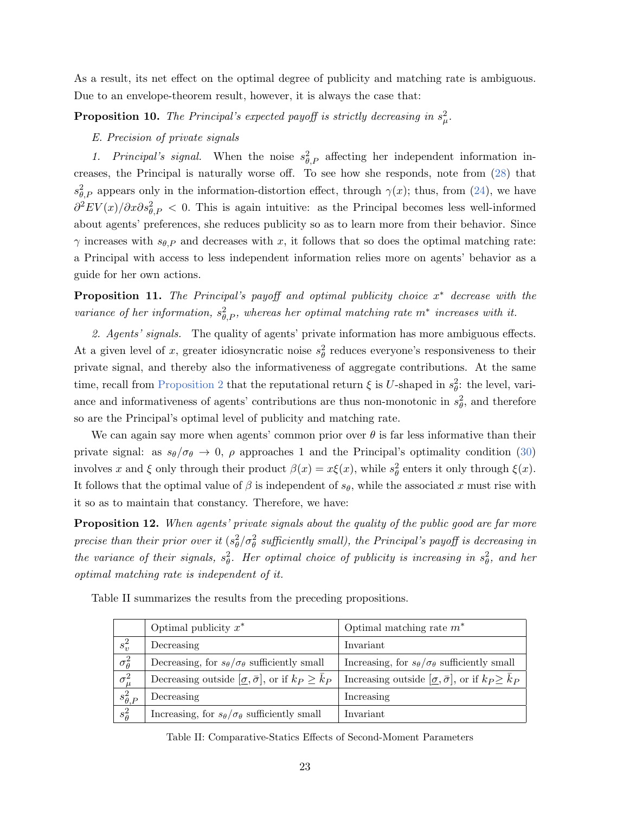As a result, its net effect on the optimal degree of publicity and matching rate is ambiguous. Due to an envelope-theorem result, however, it is always the case that:

<span id="page-25-0"></span>**Proposition 10.** The Principal's expected payoff is strictly decreasing in  $s_{\mu}^2$ .

#### E. Precision of private signals

1. Principal's signal. When the noise  $s_{\theta,P}^2$  affecting her independent information increases, the Principal is naturally worse off. To see how she responds, note from [\(28\)](#page-21-5) that  $s_{\theta,P}^2$  appears only in the information-distortion effect, through  $\gamma(x)$ ; thus, from [\(24\)](#page-20-3), we have  $\partial^2 EV(x)/\partial x \partial s_{\theta,P}^2 < 0$ . This is again intuitive: as the Principal becomes less well-informed about agents' preferences, she reduces publicity so as to learn more from their behavior. Since  $\gamma$  increases with  $s_{\theta,P}$  and decreases with x, it follows that so does the optimal matching rate: a Principal with access to less independent information relies more on agents' behavior as a guide for her own actions.

**Proposition 11.** The Principal's payoff and optimal publicity choice  $x^*$  decrease with the variance of her information,  $s_{\theta,P}^2$ , whereas her optimal matching rate  $m^*$  increases with it.

2. Agents' signals. The quality of agents' private information has more ambiguous effects. At a given level of x, greater idiosyncratic noise  $s_{\theta}^2$  reduces everyone's responsiveness to their private signal, and thereby also the informativeness of aggregate contributions. At the same time, recall from [Proposition 2](#page-17-1) that the reputational return  $\xi$  is U-shaped in  $s_{\theta}^2$ : the level, variance and informativeness of agents' contributions are thus non-monotonic in  $s_{\theta}^2$ , and therefore so are the Principal's optimal level of publicity and matching rate.

We can again say more when agents' common prior over  $\theta$  is far less informative than their private signal: as  $s_{\theta}/\sigma_{\theta} \rightarrow 0$ ,  $\rho$  approaches 1 and the Principal's optimality condition [\(30\)](#page-22-3) involves x and  $\xi$  only through their product  $\beta(x) = x\xi(x)$ , while  $s_\theta^2$  enters it only through  $\xi(x)$ . It follows that the optimal value of  $\beta$  is independent of  $s_{\theta}$ , while the associated x must rise with it so as to maintain that constancy. Therefore, we have:

<span id="page-25-1"></span>**Proposition 12.** When agents' private signals about the quality of the public good are far more precise than their prior over it  $(s^2_\theta/\sigma^2_\theta$  sufficiently small), the Principal's payoff is decreasing in the variance of their signals,  $s_{\theta}^2$ . Her optimal choice of publicity is increasing in  $s_{\theta}^2$ , and her optimal matching rate is independent of it.

|                     | Optimal publicity $x^*$                                           | Optimal matching rate $m^*$                                                         |
|---------------------|-------------------------------------------------------------------|-------------------------------------------------------------------------------------|
| $s_n^2$             | Decreasing                                                        | Invariant                                                                           |
| $\sigma_{\theta}^2$ | Decreasing, for $s_{\theta}/\sigma_{\theta}$ sufficiently small   | Increasing, for $s_{\theta}/\sigma_{\theta}$ sufficiently small                     |
| $\sigma^2_\mu$      | Decreasing outside $[\sigma, \bar{\sigma}],$ or if $k_P \geq k_P$ | Increasing outside $[\underline{\sigma}, \overline{\sigma}]$ , or if $k_P \geq k_P$ |
| $s_{\theta,P}^2$    | Decreasing                                                        | Increasing                                                                          |
| $s^2_\theta$        | Increasing, for $s_{\theta}/\sigma_{\theta}$ sufficiently small   | Invariant                                                                           |

Table II summarizes the results from the preceding propositions.

Table II: Comparative-Statics Effects of Second-Moment Parameters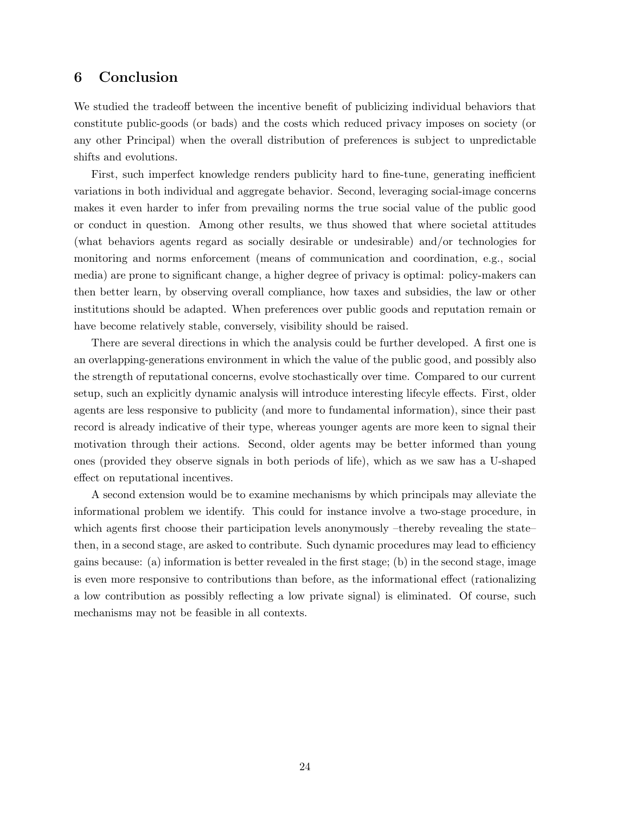# 6 Conclusion

We studied the tradeoff between the incentive benefit of publicizing individual behaviors that constitute public-goods (or bads) and the costs which reduced privacy imposes on society (or any other Principal) when the overall distribution of preferences is subject to unpredictable shifts and evolutions.

First, such imperfect knowledge renders publicity hard to fine-tune, generating inefficient variations in both individual and aggregate behavior. Second, leveraging social-image concerns makes it even harder to infer from prevailing norms the true social value of the public good or conduct in question. Among other results, we thus showed that where societal attitudes (what behaviors agents regard as socially desirable or undesirable) and/or technologies for monitoring and norms enforcement (means of communication and coordination, e.g., social media) are prone to significant change, a higher degree of privacy is optimal: policy-makers can then better learn, by observing overall compliance, how taxes and subsidies, the law or other institutions should be adapted. When preferences over public goods and reputation remain or have become relatively stable, conversely, visibility should be raised.

There are several directions in which the analysis could be further developed. A first one is an overlapping-generations environment in which the value of the public good, and possibly also the strength of reputational concerns, evolve stochastically over time. Compared to our current setup, such an explicitly dynamic analysis will introduce interesting lifecyle effects. First, older agents are less responsive to publicity (and more to fundamental information), since their past record is already indicative of their type, whereas younger agents are more keen to signal their motivation through their actions. Second, older agents may be better informed than young ones (provided they observe signals in both periods of life), which as we saw has a U-shaped effect on reputational incentives.

A second extension would be to examine mechanisms by which principals may alleviate the informational problem we identify. This could for instance involve a two-stage procedure, in which agents first choose their participation levels anonymously –thereby revealing the state– then, in a second stage, are asked to contribute. Such dynamic procedures may lead to efficiency gains because: (a) information is better revealed in the first stage; (b) in the second stage, image is even more responsive to contributions than before, as the informational effect (rationalizing a low contribution as possibly reflecting a low private signal) is eliminated. Of course, such mechanisms may not be feasible in all contexts.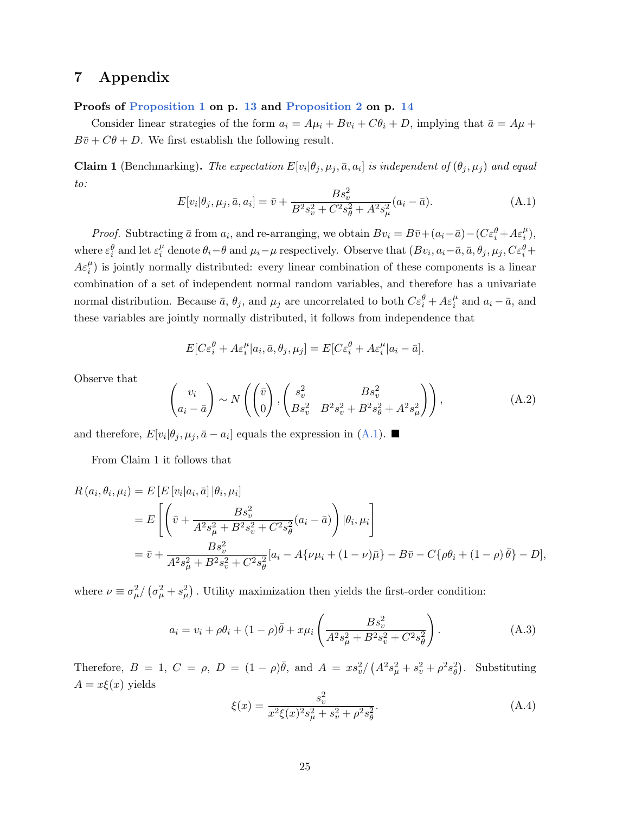# 7 Appendix

Proofs of [Proposition 1](#page-15-4) on p. [13](#page-15-4) and [Proposition 2](#page-17-1) on p. [14](#page-17-1)

Consider linear strategies of the form  $a_i = A\mu_i + Bv_i + C\theta_i + D$ , implying that  $\bar{a} = A\mu +$  $B\bar{v} + C\theta + D$ . We first establish the following result.

**Claim 1** (Benchmarking). The expectation  $E[v_i|\theta_j, \mu_j, \bar{a}, a_i]$  is independent of  $(\theta_j, \mu_j)$  and equal to:

<span id="page-27-0"></span>
$$
E[v_i|\theta_j, \mu_j, \bar{a}, a_i] = \bar{v} + \frac{Bs_v^2}{B^2s_v^2 + C^2s_\theta^2 + A^2s_\mu^2}(a_i - \bar{a}).\tag{A.1}
$$

*Proof.* Subtracting  $\bar{a}$  from  $a_i$ , and re-arranging, we obtain  $Bv_i = B\bar{v} + (a_i - \bar{a}) - (C\varepsilon_i^{\theta} + A\varepsilon_i^{\mu})$ , where  $\varepsilon_i^{\theta}$  and let  $\varepsilon_i^{\mu}$ <sup> $\mu$ </sup> denote  $\theta_i - \theta$  and  $\mu_i - \mu$  respectively. Observe that  $(Bv_i, a_i - \bar{a}, \bar{a}, \theta_j, \mu_j, C \varepsilon_i^{\theta} + \bar{a}, \bar{a}, \bar{a}, \bar{a}, \bar{a}, \bar{a} \cdot \bar{a}$  $A\varepsilon_i^{\mu}$  is jointly normally distributed: every linear combination of these components is a linear combination of a set of independent normal random variables, and therefore has a univariate normal distribution. Because  $\bar{a}$ ,  $\theta_j$ , and  $\mu_j$  are uncorrelated to both  $C\varepsilon_i^{\theta} + A\varepsilon_i^{\mu}$  and  $a_i - \bar{a}$ , and these variables are jointly normally distributed, it follows from independence that

$$
E[C\varepsilon_i^{\theta} + A\varepsilon_i^{\mu}|a_i, \bar{a}, \theta_j, \mu_j] = E[C\varepsilon_i^{\theta} + A\varepsilon_i^{\mu}|a_i - \bar{a}].
$$

Observe that

$$
\begin{pmatrix} v_i \\ a_i - \bar{a} \end{pmatrix} \sim N \left( \begin{pmatrix} \bar{v} \\ 0 \end{pmatrix}, \begin{pmatrix} s_v^2 & B s_v^2 \\ B s_v^2 & B^2 s_v^2 + B^2 s_\theta^2 + A^2 s_\mu^2 \end{pmatrix} \right), \tag{A.2}
$$

and therefore,  $E[v_i|\theta_j, \mu_j, \bar{a}-a_i]$  equals the expression in [\(A.1\)](#page-27-0).

From Claim 1 it follows that

$$
R(a_i, \theta_i, \mu_i) = E \left[ E \left[ v_i | a_i, \bar{a} \right] | \theta_i, \mu_i \right]
$$
  
= 
$$
E \left[ \left( \bar{v} + \frac{B s_v^2}{A^2 s_\mu^2 + B^2 s_v^2 + C^2 s_\theta^2} (a_i - \bar{a}) \right) | \theta_i, \mu_i \right]
$$
  
= 
$$
\bar{v} + \frac{B s_v^2}{A^2 s_\mu^2 + B^2 s_v^2 + C^2 s_\theta^2} [a_i - A \{\nu \mu_i + (1 - \nu) \bar{\mu}\} - B \bar{v} - C \{\rho \theta_i + (1 - \rho) \bar{\theta}\} - D],
$$

where  $\nu \equiv \sigma_{\mu}^2 / (\sigma_{\mu}^2 + s_{\mu}^2)$ . Utility maximization then yields the first-order condition:

$$
a_i = v_i + \rho \theta_i + (1 - \rho)\bar{\theta} + x\mu_i \left(\frac{Bs_v^2}{A^2 s_\mu^2 + B^2 s_v^2 + C^2 s_\theta^2}\right). \tag{A.3}
$$

Therefore,  $B = 1$ ,  $C = \rho$ ,  $D = (1 - \rho)\bar{\theta}$ , and  $A = xs_v^2 / (A^2 s_\mu^2 + s_v^2 + \rho^2 s_\theta^2)$ . Substituting  $A = x\xi(x)$  yields

<span id="page-27-1"></span>
$$
\xi(x) = \frac{s_v^2}{x^2 \xi(x)^2 s_\mu^2 + s_v^2 + \rho^2 s_\theta^2}.
$$
\n(A.4)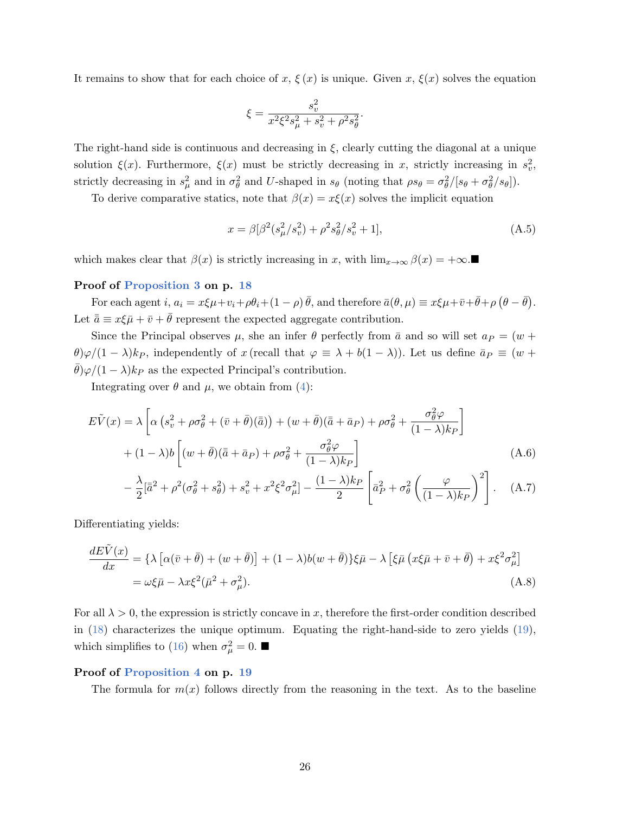It remains to show that for each choice of x,  $\xi(x)$  is unique. Given x,  $\xi(x)$  solves the equation

$$
\xi = \frac{s_v^2}{x^2 \xi^2 s_\mu^2 + s_v^2 + \rho^2 s_\theta^2}.
$$

The right-hand side is continuous and decreasing in  $\xi$ , clearly cutting the diagonal at a unique solution  $\xi(x)$ . Furthermore,  $\xi(x)$  must be strictly decreasing in x, strictly increasing in  $s_v^2$ , strictly decreasing in  $s_\mu^2$  and in  $\sigma_\theta^2$  and U-shaped in  $s_\theta$  (noting that  $\rho s_\theta = \sigma_\theta^2/[s_\theta + \sigma_\theta^2/s_\theta]$ ).

To derive comparative statics, note that  $\beta(x) = x\xi(x)$  solves the implicit equation

$$
x = \beta \left[\beta^2 (s_{\mu}^2/s_v^2) + \rho^2 s_{\theta}^2/s_v^2 + 1\right],\tag{A.5}
$$

which makes clear that  $\beta(x)$  is strictly increasing in x, with  $\lim_{x\to\infty} \beta(x) = +\infty$ .

#### Proof of [Proposition 3](#page-20-0) on p. [18](#page-20-0)

For each agent  $i, a_i = x\xi\mu + v_i + \rho\theta_i + (1 - \rho)\bar{\theta}$ , and therefore  $\bar{a}(\theta, \mu) \equiv x\xi\mu + \bar{v} + \bar{\theta} + \rho(\theta - \bar{\theta})$ . Let  $\bar{\bar{a}} \equiv x \xi \bar{\mu} + \bar{v} + \bar{\theta}$  represent the expected aggregate contribution.

Since the Principal observes  $\mu$ , she an infer  $\theta$  perfectly from  $\bar{a}$  and so will set  $a_P = (w +$  $\theta$ ) $\varphi/(1 - \lambda)k_P$ , independently of x (recall that  $\varphi \equiv \lambda + b(1 - \lambda)$ ). Let us define  $\bar{a}_P \equiv (w + \lambda)k_P$  $\bar{\theta}$ ) $\varphi/(1-\lambda)k_P$  as the expected Principal's contribution.

Integrating over  $\theta$  and  $\mu$ , we obtain from [\(4\)](#page-12-3):

$$
E\tilde{V}(x) = \lambda \left[ \alpha \left( s_v^2 + \rho \sigma_\theta^2 + (\bar{v} + \bar{\theta})(\bar{\bar{a}}) \right) + (w + \bar{\theta})(\bar{\bar{a}} + \bar{a}_P) + \rho \sigma_\theta^2 + \frac{\sigma_\theta^2 \varphi}{(1 - \lambda)k_P} \right]
$$
  
+  $(1 - \lambda)b \left[ (w + \bar{\theta})(\bar{\bar{a}} + \bar{a}_P) + \rho \sigma_\theta^2 + \frac{\sigma_\theta^2 \varphi}{(1 - \lambda)k_P} \right]$   
-  $\frac{\lambda}{2} [\bar{\bar{a}}^2 + \rho^2 (\sigma_\theta^2 + s_\theta^2) + s_v^2 + x^2 \xi^2 \sigma_\mu^2] - \frac{(1 - \lambda)k_P}{2} \left[ \bar{a}_P^2 + \sigma_\theta^2 \left( \frac{\varphi}{(1 - \lambda)k_P} \right)^2 \right].$  (A.7)

2

 $(1 - \lambda)k_F$ 

<span id="page-28-1"></span><span id="page-28-0"></span> $(A.7)$ 

Differentiating yields:

$$
\frac{dE\tilde{V}(x)}{dx} = \{\lambda \left[ \alpha(\bar{v} + \bar{\theta}) + (w + \bar{\theta}) \right] + (1 - \lambda)b(w + \bar{\theta})\}\xi\bar{\mu} - \lambda \left[ \xi\bar{\mu} \left( x\xi\bar{\mu} + \bar{v} + \bar{\theta} \right) + x\xi^2\sigma_{\mu}^2 \right]
$$

$$
= \omega\xi\bar{\mu} - \lambda x\xi^2(\bar{\mu}^2 + \sigma_{\mu}^2). \tag{A.8}
$$

For all  $\lambda > 0$ , the expression is strictly concave in x, therefore the first-order condition described in  $(18)$  characterizes the unique optimum. Equating the right-hand-side to zero yields  $(19)$ , which simplifies to [\(16\)](#page-19-1) when  $\sigma_{\mu}^2 = 0$ .

#### Proof of [Proposition 4](#page-21-6) on p. [19](#page-21-6)

The formula for  $m(x)$  follows directly from the reasoning in the text. As to the baseline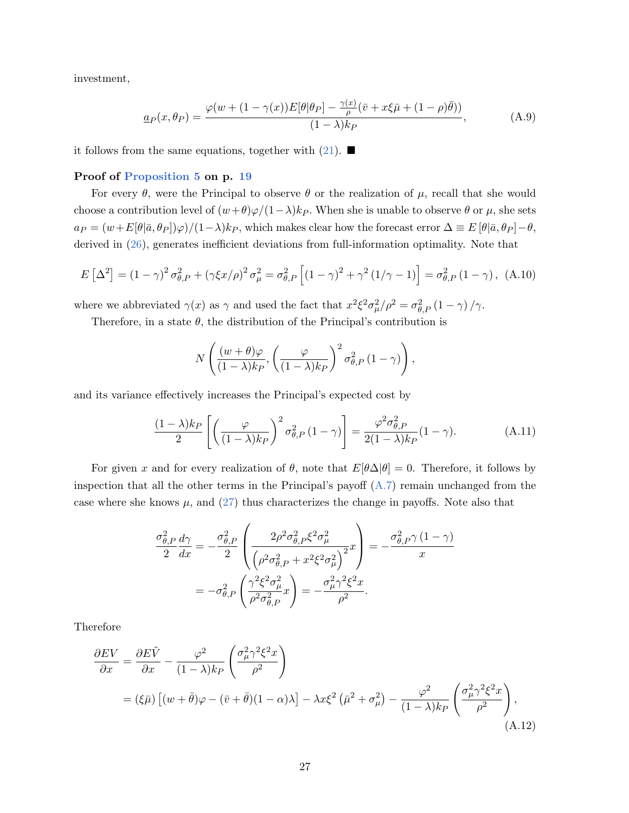investment,

$$
\underline{a}_P(x,\theta_P) = \frac{\varphi(w + (1 - \gamma(x))E[\theta|\theta_P] - \frac{\gamma(x)}{\rho}(\bar{v} + x\xi\bar{\mu} + (1 - \rho)\bar{\theta}))}{(1 - \lambda)k_P},\tag{A.9}
$$

it follows from the same equations, together with  $(21)$ .

#### Proof of [Proposition 5](#page-21-4) on p. [19](#page-21-4)

For every  $\theta$ , were the Principal to observe  $\theta$  or the realization of  $\mu$ , recall that she would choose a contribution level of  $(w+\theta)\varphi/(1-\lambda)k_P$ . When she is unable to observe  $\theta$  or  $\mu$ , she sets  $a_P = (w + E[\theta|\bar{a}, \theta_P])\varphi)/(1-\lambda)k_P$ , which makes clear how the forecast error  $\Delta \equiv E[\theta|\bar{a}, \theta_P]-\theta$ , derived in [\(26\)](#page-21-7), generates inefficient deviations from full-information optimality. Note that

$$
E\left[\Delta^2\right] = (1 - \gamma)^2 \sigma_{\theta, P}^2 + (\gamma \xi x/\rho)^2 \sigma_{\mu}^2 = \sigma_{\theta, P}^2 \left[ (1 - \gamma)^2 + \gamma^2 (1/\gamma - 1) \right] = \sigma_{\theta, P}^2 (1 - \gamma), \text{ (A.10)}
$$

where we abbreviated  $\gamma(x)$  as  $\gamma$  and used the fact that  $x^2 \xi^2 \sigma_\mu^2 / \rho^2 = \sigma_{\theta, P}^2 (1 - \gamma) / \gamma$ .

Therefore, in a state  $\theta$ , the distribution of the Principal's contribution is

$$
N\left(\frac{(w+\theta)\varphi}{(1-\lambda)k_P}, \left(\frac{\varphi}{(1-\lambda)k_P}\right)^2 \sigma_{\theta, P}^2 (1-\gamma)\right),\,
$$

and its variance effectively increases the Principal's expected cost by

<span id="page-29-0"></span>
$$
\frac{(1-\lambda)k_P}{2}\left[\left(\frac{\varphi}{(1-\lambda)k_P}\right)^2\sigma_{\theta,P}^2(1-\gamma)\right] = \frac{\varphi^2\sigma_{\theta,P}^2}{2(1-\lambda)k_P}(1-\gamma). \tag{A.11}
$$

For given x and for every realization of  $\theta$ , note that  $E[\theta\Delta|\theta] = 0$ . Therefore, it follows by inspection that all the other terms in the Principal's payoff  $(A.7)$  remain unchanged from the case where she knows  $\mu$ , and [\(27\)](#page-21-3) thus characterizes the change in payoffs. Note also that

$$
\frac{\sigma_{\theta,P}^2}{2} \frac{d\gamma}{dx} = -\frac{\sigma_{\theta,P}^2}{2} \left( \frac{2\rho^2 \sigma_{\theta,P}^2 \xi^2 \sigma_{\mu}^2}{\left(\rho^2 \sigma_{\theta,P}^2 + x^2 \xi^2 \sigma_{\mu}^2\right)^2} x \right) = -\frac{\sigma_{\theta,P}^2 \gamma (1-\gamma)}{x}
$$

$$
= -\sigma_{\theta,P}^2 \left( \frac{\gamma^2 \xi^2 \sigma_{\mu}^2}{\rho^2 \sigma_{\theta,P}^2} x \right) = -\frac{\sigma_{\mu}^2 \gamma^2 \xi^2 x}{\rho^2}.
$$

Therefore

$$
\frac{\partial EV}{\partial x} = \frac{\partial E\tilde{V}}{\partial x} - \frac{\varphi^2}{(1-\lambda)k_P} \left( \frac{\sigma_\mu^2 \gamma^2 \xi^2 x}{\rho^2} \right)
$$
  
=  $(\xi \bar{\mu}) \left[ (w + \bar{\theta})\varphi - (\bar{v} + \bar{\theta})(1-\alpha)\lambda \right] - \lambda x \xi^2 \left( \bar{\mu}^2 + \sigma_\mu^2 \right) - \frac{\varphi^2}{(1-\lambda)k_P} \left( \frac{\sigma_\mu^2 \gamma^2 \xi^2 x}{\rho^2} \right),$  (A.12)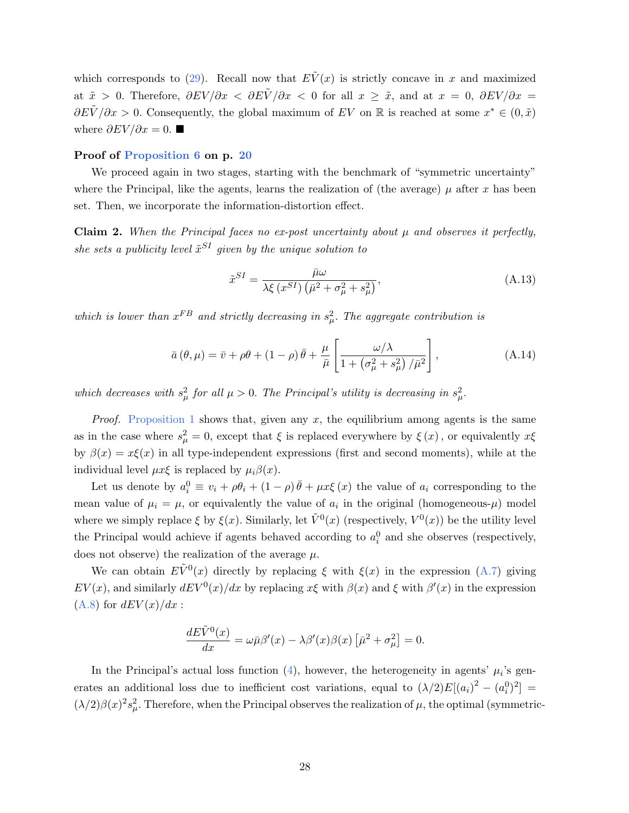which corresponds to [\(29\)](#page-21-1). Recall now that  $E\tilde{V}(x)$  is strictly concave in x and maximized at  $\tilde{x} > 0$ . Therefore,  $\partial EV/\partial x < \partial E\tilde{V}/\partial x < 0$  for all  $x \geq \tilde{x}$ , and at  $x = 0$ ,  $\partial EV/\partial x = 0$  $\partial E \tilde{V}/\partial x > 0$ . Consequently, the global maximum of EV on R is reached at some  $x^* \in (0, \tilde{x})$ where  $\partial EV/\partial x = 0$ .

#### Proof of [Proposition 6](#page-22-4) on p. [20](#page-22-4)

We proceed again in two stages, starting with the benchmark of "symmetric uncertainty" where the Principal, like the agents, learns the realization of (the average)  $\mu$  after x has been set. Then, we incorporate the information-distortion effect.

Claim 2. When the Principal faces no ex-post uncertainty about  $\mu$  and observes it perfectly, she sets a publicity level  $\tilde{x}^{SI}$  given by the unique solution to

<span id="page-30-0"></span>
$$
\tilde{x}^{SI} = \frac{\bar{\mu}\omega}{\lambda\xi \left(x^{SI}\right) \left(\bar{\mu}^2 + \sigma_{\mu}^2 + s_{\mu}^2\right)},\tag{A.13}
$$

which is lower than  $x^{FB}$  and strictly decreasing in  $s_{\mu}^2$ . The aggregate contribution is

$$
\bar{a}(\theta,\mu) = \bar{v} + \rho\theta + (1-\rho)\bar{\theta} + \frac{\mu}{\bar{\mu}} \left[ \frac{\omega/\lambda}{1 + \left(\sigma_{\mu}^2 + s_{\mu}^2\right)/\bar{\mu}^2} \right],
$$
\n(A.14)

which decreases with  $s_{\mu}^2$  for all  $\mu > 0$ . The Principal's utility is decreasing in  $s_{\mu}^2$ .

*Proof.* [Proposition 1](#page-15-4) shows that, given any x, the equilibrium among agents is the same as in the case where  $s_{\mu}^2 = 0$ , except that  $\xi$  is replaced everywhere by  $\xi(x)$ , or equivalently  $x\xi$ by  $\beta(x) = x\xi(x)$  in all type-independent expressions (first and second moments), while at the individual level  $\mu x \xi$  is replaced by  $\mu_i \beta(x)$ .

Let us denote by  $a_i^0 \equiv v_i + \rho \theta_i + (1 - \rho) \bar{\theta} + \mu x \xi(x)$  the value of  $a_i$  corresponding to the mean value of  $\mu_i = \mu$ , or equivalently the value of  $a_i$  in the original (homogeneous- $\mu$ ) model where we simply replace  $\xi$  by  $\xi(x)$ . Similarly, let  $\tilde{V}^0(x)$  (respectively,  $V^0(x)$ ) be the utility level the Principal would achieve if agents behaved according to  $a_i^0$  and she observes (respectively, does not observe) the realization of the average  $\mu$ .

We can obtain  $E\tilde{V}^0(x)$  directly by replacing  $\xi$  with  $\xi(x)$  in the expression [\(A.7\)](#page-28-0) giving  $EV(x)$ , and similarly  $dEV^{0}(x)/dx$  by replacing  $x\xi$  with  $\beta(x)$  and  $\xi$  with  $\beta'(x)$  in the expression  $(A.8)$  for  $dEV(x)/dx$ :

$$
\frac{dE\tilde{V}^{0}(x)}{dx} = \omega\bar{\mu}\beta'(x) - \lambda\beta'(x)\beta(x)\left[\bar{\mu}^{2} + \sigma_{\mu}^{2}\right] = 0.
$$

In the Principal's actual loss function  $(4)$ , however, the heterogeneity in agents'  $\mu_i$ 's generates an additional loss due to inefficient cost variations, equal to  $(\lambda/2)E[(a_i)^2 - (a_i^0)^2] =$  $(\lambda/2)\beta(x)^2 s_\mu^2$ . Therefore, when the Principal observes the realization of  $\mu$ , the optimal (symmetric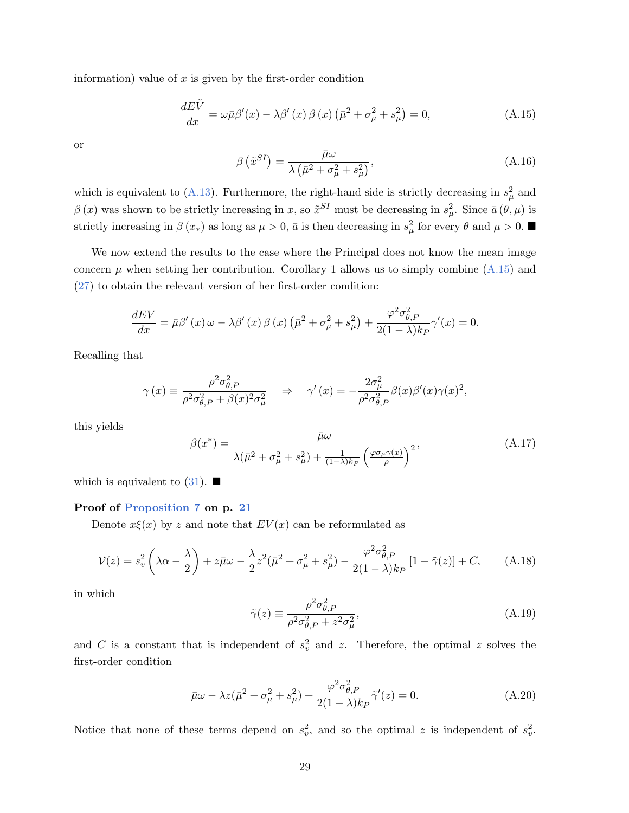information) value of  $x$  is given by the first-order condition

<span id="page-31-0"></span>
$$
\frac{dE\tilde{V}}{dx} = \omega\bar{\mu}\beta'(x) - \lambda\beta'(x)\beta(x)\left(\bar{\mu}^2 + \sigma_{\mu}^2 + s_{\mu}^2\right) = 0,
$$
\n(A.15)

or

$$
\beta\left(\tilde{x}^{SI}\right) = \frac{\bar{\mu}\omega}{\lambda\left(\bar{\mu}^2 + \sigma_{\mu}^2 + s_{\mu}^2\right)},\tag{A.16}
$$

which is equivalent to [\(A.13\)](#page-30-0). Furthermore, the right-hand side is strictly decreasing in  $s_{\mu}^2$  and  $\beta(x)$  was shown to be strictly increasing in x, so  $\tilde{x}^{SI}$  must be decreasing in  $s^2_\mu$ . Since  $\bar{a}(\theta,\mu)$  is strictly increasing in  $\beta(x_*)$  as long as  $\mu > 0$ ,  $\bar{a}$  is then decreasing in  $s_\mu^2$  for every  $\theta$  and  $\mu > 0$ .

We now extend the results to the case where the Principal does not know the mean image concern  $\mu$  when setting her contribution. Corollary 1 allows us to simply combine [\(A.15\)](#page-31-0) and [\(27\)](#page-21-3) to obtain the relevant version of her first-order condition:

$$
\frac{dEV}{dx} = \bar{\mu}\beta'(x)\,\omega - \lambda\beta'(x)\,\beta(x)\left(\bar{\mu}^2 + \sigma_{\mu}^2 + s_{\mu}^2\right) + \frac{\varphi^2\sigma_{\theta,P}^2}{2(1-\lambda)k_P}\gamma'(x) = 0.
$$

Recalling that

$$
\gamma(x) \equiv \frac{\rho^2 \sigma_{\theta, P}^2}{\rho^2 \sigma_{\theta, P}^2 + \beta(x)^2 \sigma_{\mu}^2} \quad \Rightarrow \quad \gamma'(x) = -\frac{2\sigma_{\mu}^2}{\rho^2 \sigma_{\theta, P}^2} \beta(x) \beta'(x) \gamma(x)^2,
$$

this yields

$$
\beta(x^*) = \frac{\bar{\mu}\omega}{\lambda(\bar{\mu}^2 + \sigma_{\mu}^2 + s_{\mu}^2) + \frac{1}{(1-\lambda)k_P} \left(\frac{\varphi\sigma_{\mu}\gamma(x)}{\rho}\right)^2},\tag{A.17}
$$

which is equivalent to  $(31)$ .

#### Proof of [Proposition 7](#page-23-2) on p. [21](#page-23-2)

Denote  $x\xi(x)$  by z and note that  $EV(x)$  can be reformulated as

<span id="page-31-1"></span>
$$
\mathcal{V}(z) = s_v^2 \left(\lambda \alpha - \frac{\lambda}{2}\right) + z\bar{\mu}\omega - \frac{\lambda}{2}z^2(\bar{\mu}^2 + \sigma_{\mu}^2 + s_{\mu}^2) - \frac{\varphi^2 \sigma_{\theta, P}^2}{2(1 - \lambda)k_P} \left[1 - \tilde{\gamma}(z)\right] + C,\tag{A.18}
$$

in which

$$
\tilde{\gamma}(z) \equiv \frac{\rho^2 \sigma_{\theta, P}^2}{\rho^2 \sigma_{\theta, P}^2 + z^2 \sigma_{\mu}^2},\tag{A.19}
$$

and C is a constant that is independent of  $s_v^2$  and z. Therefore, the optimal z solves the first-order condition

$$
\bar{\mu}\omega - \lambda z(\bar{\mu}^2 + \sigma_{\mu}^2 + s_{\mu}^2) + \frac{\varphi^2 \sigma_{\theta, P}^2}{2(1 - \lambda)k_P} \tilde{\gamma}'(z) = 0.
$$
\n(A.20)

Notice that none of these terms depend on  $s_v^2$ , and so the optimal z is independent of  $s_v^2$ .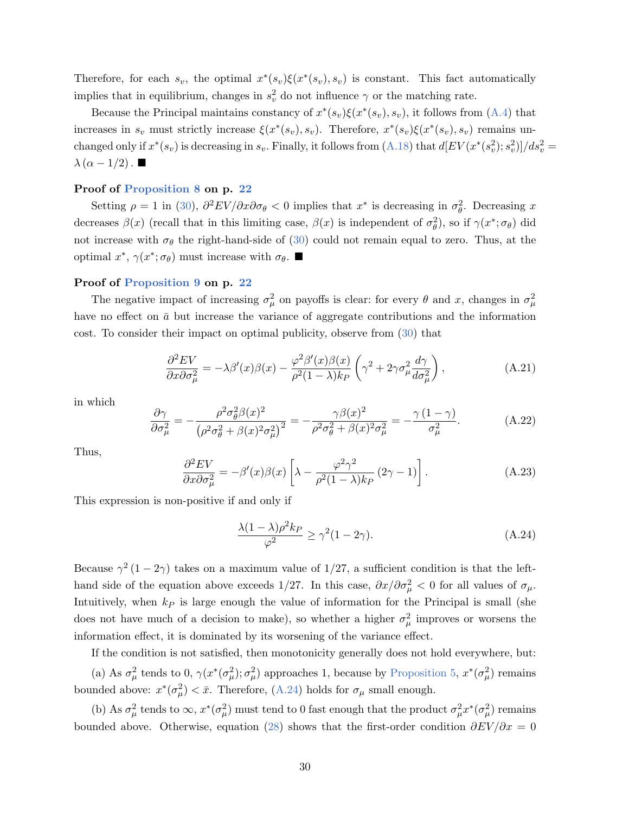Therefore, for each  $s_v$ , the optimal  $x^*(s_v) \xi(x^*(s_v), s_v)$  is constant. This fact automatically implies that in equilibrium, changes in  $s_v^2$  do not influence  $\gamma$  or the matching rate.

Because the Principal maintains constancy of  $x^*(s_v) \xi(x^*(s_v), s_v)$ , it follows from [\(A.4\)](#page-27-1) that increases in  $s_v$  must strictly increase  $\xi(x^*(s_v), s_v)$ . Therefore,  $x^*(s_v)\xi(x^*(s_v), s_v)$  remains unchanged only if  $x^*(s_v)$  is decreasing in  $s_v$ . Finally, it follows from  $(A.18)$  that  $d[EV(x^*(s_v^2); s_v^2)]/ds_v^2 =$  $\lambda (\alpha - 1/2)$ .

#### Proof of [Proposition 8](#page-24-0) on p. [22](#page-24-0)

Setting  $\rho = 1$  in [\(30\)](#page-22-3),  $\partial^2 EV / \partial x \partial \sigma_{\theta} < 0$  implies that  $x^*$  is decreasing in  $\sigma_{\theta}^2$ . Decreasing x decreases  $\beta(x)$  (recall that in this limiting case,  $\beta(x)$  is independent of  $\sigma_{\theta}^2$ ), so if  $\gamma(x^*; \sigma_{\theta})$  did not increase with  $\sigma_{\theta}$  the right-hand-side of [\(30\)](#page-22-3) could not remain equal to zero. Thus, at the optimal  $x^*$ ,  $\gamma(x^*; \sigma_\theta)$  must increase with  $\sigma_\theta$ .

#### Proof of [Proposition 9](#page-24-1) on p. [22](#page-24-1)

The negative impact of increasing  $\sigma_\mu^2$  on payoffs is clear: for every  $\theta$  and x, changes in  $\sigma_\mu^2$ have no effect on  $\bar{a}$  but increase the variance of aggregate contributions and the information cost. To consider their impact on optimal publicity, observe from [\(30\)](#page-22-3) that

$$
\frac{\partial^2 EV}{\partial x \partial \sigma_\mu^2} = -\lambda \beta'(x)\beta(x) - \frac{\varphi^2 \beta'(x)\beta(x)}{\rho^2 (1-\lambda)k_P} \left(\gamma^2 + 2\gamma \sigma_\mu^2 \frac{d\gamma}{d\sigma_\mu^2}\right),\tag{A.21}
$$

in which

$$
\frac{\partial \gamma}{\partial \sigma_{\mu}^2} = -\frac{\rho^2 \sigma_{\theta}^2 \beta(x)^2}{\left(\rho^2 \sigma_{\theta}^2 + \beta(x)^2 \sigma_{\mu}^2\right)^2} = -\frac{\gamma \beta(x)^2}{\rho^2 \sigma_{\theta}^2 + \beta(x)^2 \sigma_{\mu}^2} = -\frac{\gamma (1 - \gamma)}{\sigma_{\mu}^2}.
$$
\n(A.22)

Thus,

$$
\frac{\partial^2 EV}{\partial x \partial \sigma_\mu^2} = -\beta'(x)\beta(x) \left[ \lambda - \frac{\varphi^2 \gamma^2}{\rho^2 (1 - \lambda) k_P} (2\gamma - 1) \right]. \tag{A.23}
$$

This expression is non-positive if and only if

<span id="page-32-0"></span>
$$
\frac{\lambda(1-\lambda)\rho^2 k_P}{\varphi^2} \ge \gamma^2(1-2\gamma). \tag{A.24}
$$

Because  $\gamma^2(1-2\gamma)$  takes on a maximum value of 1/27, a sufficient condition is that the lefthand side of the equation above exceeds 1/27. In this case,  $\partial x/\partial \sigma_{\mu}^2 < 0$  for all values of  $\sigma_{\mu}$ . Intuitively, when  $k_P$  is large enough the value of information for the Principal is small (she does not have much of a decision to make), so whether a higher  $\sigma_\mu^2$  improves or worsens the information effect, it is dominated by its worsening of the variance effect.

If the condition is not satisfied, then monotonicity generally does not hold everywhere, but: (a) As  $\sigma_{\mu}^2$  tends to 0,  $\gamma(x^*(\sigma_{\mu}^2); \sigma_{\mu}^2)$  approaches 1, because by [Proposition 5,](#page-21-4)  $x^*(\sigma_{\mu}^2)$  remains bounded above:  $x^*(\sigma_\mu^2) < \bar{x}$ . Therefore, [\(A.24\)](#page-32-0) holds for  $\sigma_\mu$  small enough.

(b) As  $\sigma_\mu^2$  tends to  $\infty$ ,  $x^*(\sigma_\mu^2)$  must tend to 0 fast enough that the product  $\sigma_\mu^2 x^*(\sigma_\mu^2)$  remains bounded above. Otherwise, equation [\(28\)](#page-21-5) shows that the first-order condition  $\partial EV/\partial x = 0$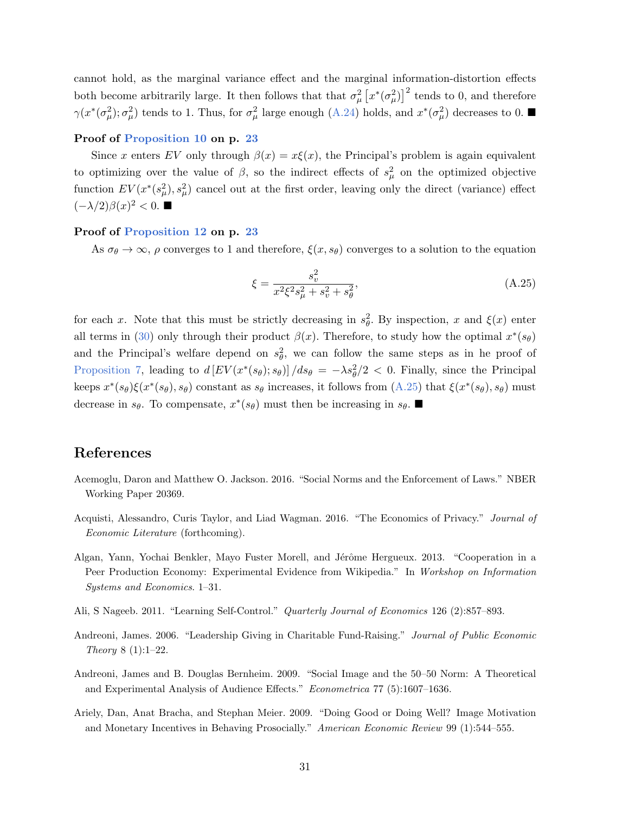cannot hold, as the marginal variance effect and the marginal information-distortion effects both become arbitrarily large. It then follows that that  $\sigma_{\mu}^{2} [\bar{x}^{*}(\sigma_{\mu}^{2})]^{2}$  tends to 0, and therefore  $\gamma(x^*(\sigma_\mu^2); \sigma_\mu^2)$  tends to 1. Thus, for  $\sigma_\mu^2$  large enough [\(A.24\)](#page-32-0) holds, and  $x^*(\sigma_\mu^2)$  decreases to 0.

#### Proof of [Proposition 10](#page-25-0) on p. [23](#page-25-0)

Since x enters EV only through  $\beta(x) = x\xi(x)$ , the Principal's problem is again equivalent to optimizing over the value of  $\beta$ , so the indirect effects of  $s_{\mu}^2$  on the optimized objective function  $EV(x^*(s_\mu^2), s_\mu^2)$  cancel out at the first order, leaving only the direct (variance) effect  $(-\lambda/2)\beta(x)^2 < 0$ . ■

### Proof of [Proposition 12](#page-25-1) on p. [23](#page-25-1)

As  $\sigma_{\theta} \to \infty$ ,  $\rho$  converges to 1 and therefore,  $\xi(x, s_{\theta})$  converges to a solution to the equation

<span id="page-33-7"></span>
$$
\xi = \frac{s_v^2}{x^2 \xi^2 s_\mu^2 + s_v^2 + s_\theta^2},\tag{A.25}
$$

for each x. Note that this must be strictly decreasing in  $s_\theta^2$ . By inspection, x and  $\xi(x)$  enter all terms in [\(30\)](#page-22-3) only through their product  $\beta(x)$ . Therefore, to study how the optimal  $x^*(s_{\theta})$ and the Principal's welfare depend on  $s_{\theta}^2$ , we can follow the same steps as in he proof of [Proposition 7,](#page-23-2) leading to  $d[EV(x^*(s_{\theta}); s_{\theta})]/ds_{\theta} = -\lambda s_{\theta}^2/2 < 0$ . Finally, since the Principal keeps  $x^*(s_\theta)\xi(x^*(s_\theta), s_\theta)$  constant as  $s_\theta$  increases, it follows from  $(A.25)$  that  $\xi(x^*(s_\theta), s_\theta)$  must decrease in  $s_{\theta}$ . To compensate,  $x^*(s_{\theta})$  must then be increasing in  $s_{\theta}$ .

### References

- <span id="page-33-6"></span>Acemoglu, Daron and Matthew O. Jackson. 2016. "Social Norms and the Enforcement of Laws." NBER Working Paper 20369.
- <span id="page-33-5"></span>Acquisti, Alessandro, Curis Taylor, and Liad Wagman. 2016. "The Economics of Privacy." Journal of Economic Literature (forthcoming).
- <span id="page-33-1"></span>Algan, Yann, Yochai Benkler, Mayo Fuster Morell, and Jérôme Hergueux. 2013. "Cooperation in a Peer Production Economy: Experimental Evidence from Wikipedia." In Workshop on Information Systems and Economics. 1–31.
- <span id="page-33-4"></span>Ali, S Nageeb. 2011. "Learning Self-Control." Quarterly Journal of Economics 126 (2):857–893.
- <span id="page-33-2"></span>Andreoni, James. 2006. "Leadership Giving in Charitable Fund-Raising." Journal of Public Economic Theory 8 (1):1–22.
- <span id="page-33-3"></span>Andreoni, James and B. Douglas Bernheim. 2009. "Social Image and the 50–50 Norm: A Theoretical and Experimental Analysis of Audience Effects." Econometrica 77 (5):1607–1636.
- <span id="page-33-0"></span>Ariely, Dan, Anat Bracha, and Stephan Meier. 2009. "Doing Good or Doing Well? Image Motivation and Monetary Incentives in Behaving Prosocially." American Economic Review 99 (1):544–555.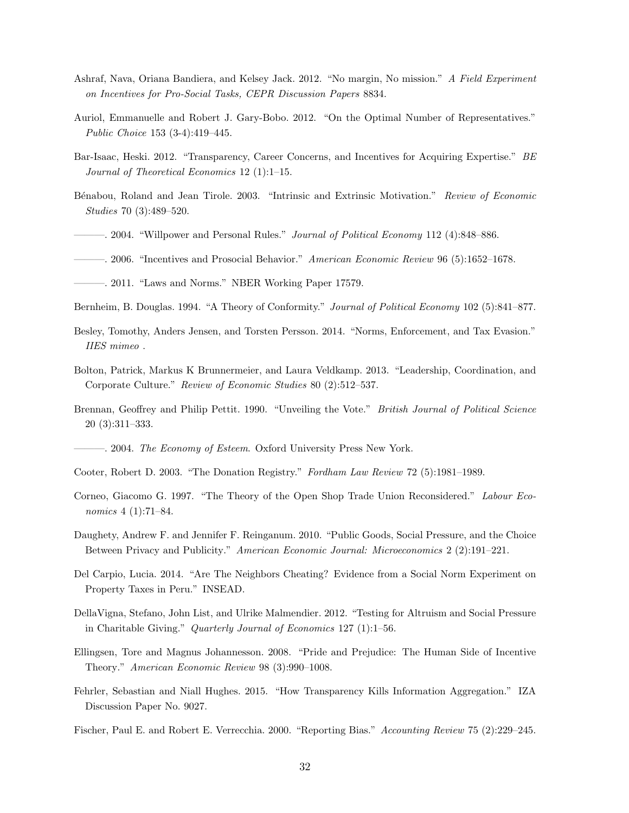- <span id="page-34-1"></span>Ashraf, Nava, Oriana Bandiera, and Kelsey Jack. 2012. "No margin, No mission." A Field Experiment on Incentives for Pro-Social Tasks, CEPR Discussion Papers 8834.
- <span id="page-34-18"></span>Auriol, Emmanuelle and Robert J. Gary-Bobo. 2012. "On the Optimal Number of Representatives." Public Choice 153 (3-4):419–445.
- <span id="page-34-9"></span>Bar-Isaac, Heski. 2012. "Transparency, Career Concerns, and Incentives for Acquiring Expertise." BE Journal of Theoretical Economics 12 (1):1–15.
- <span id="page-34-19"></span>Bénabou, Roland and Jean Tirole. 2003. "Intrinsic and Extrinsic Motivation." Review of Economic Studies 70 (3):489–520.
- <span id="page-34-13"></span>—. 2004. "Willpower and Personal Rules." *Journal of Political Economy* 112 (4):848–886.
- <span id="page-34-7"></span>———. 2006. "Incentives and Prosocial Behavior." American Economic Review 96 (5):1652–1678.
- <span id="page-34-14"></span>———. 2011. "Laws and Norms." NBER Working Paper 17579.
- <span id="page-34-10"></span>Bernheim, B. Douglas. 1994. "A Theory of Conformity." Journal of Political Economy 102 (5):841–877.
- <span id="page-34-16"></span>Besley, Tomothy, Anders Jensen, and Torsten Persson. 2014. "Norms, Enforcement, and Tax Evasion." IIES mimeo .
- <span id="page-34-6"></span>Bolton, Patrick, Markus K Brunnermeier, and Laura Veldkamp. 2013. "Leadership, Coordination, and Corporate Culture." Review of Economic Studies 80 (2):512–537.
- <span id="page-34-4"></span>Brennan, Geoffrey and Philip Pettit. 1990. "Unveiling the Vote." British Journal of Political Science 20 (3):311–333.
- <span id="page-34-3"></span>——. 2004. *The Economy of Esteem*. Oxford University Press New York.
- <span id="page-34-2"></span>Cooter, Robert D. 2003. "The Donation Registry." Fordham Law Review 72 (5):1981–1989.
- <span id="page-34-11"></span>Corneo, Giacomo G. 1997. "The Theory of the Open Shop Trade Union Reconsidered." Labour Economics 4 (1):71–84.
- <span id="page-34-8"></span>Daughety, Andrew F. and Jennifer F. Reinganum. 2010. "Public Goods, Social Pressure, and the Choice Between Privacy and Publicity." American Economic Journal: Microeconomics 2 (2):191–221.
- <span id="page-34-5"></span>Del Carpio, Lucia. 2014. "Are The Neighbors Cheating? Evidence from a Social Norm Experiment on Property Taxes in Peru." INSEAD.
- <span id="page-34-0"></span>DellaVigna, Stefano, John List, and Ulrike Malmendier. 2012. "Testing for Altruism and Social Pressure in Charitable Giving." Quarterly Journal of Economics 127 (1):1–56.
- <span id="page-34-12"></span>Ellingsen, Tore and Magnus Johannesson. 2008. "Pride and Prejudice: The Human Side of Incentive Theory." American Economic Review 98 (3):990–1008.
- <span id="page-34-15"></span>Fehrler, Sebastian and Niall Hughes. 2015. "How Transparency Kills Information Aggregation." IZA Discussion Paper No. 9027.
- <span id="page-34-17"></span>Fischer, Paul E. and Robert E. Verrecchia. 2000. "Reporting Bias." Accounting Review 75 (2):229–245.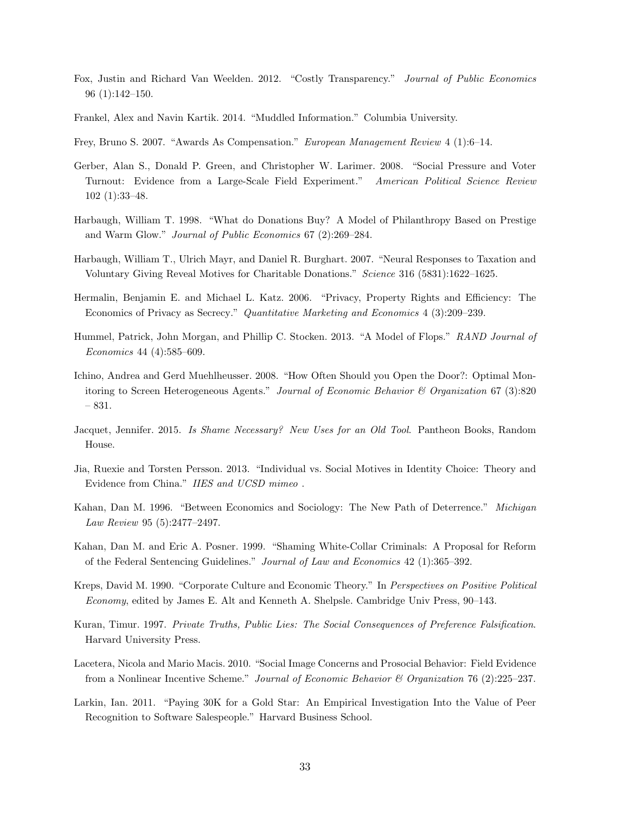- <span id="page-35-12"></span>Fox, Justin and Richard Van Weelden. 2012. "Costly Transparency." Journal of Public Economics 96 (1):142–150.
- <span id="page-35-14"></span>Frankel, Alex and Navin Kartik. 2014. "Muddled Information." Columbia University.
- <span id="page-35-2"></span>Frey, Bruno S. 2007. "Awards As Compensation." European Management Review 4 (1):6–14.
- <span id="page-35-0"></span>Gerber, Alan S., Donald P. Green, and Christopher W. Larimer. 2008. "Social Pressure and Voter Turnout: Evidence from a Large-Scale Field Experiment." American Political Science Review 102 (1):33–48.
- <span id="page-35-10"></span>Harbaugh, William T. 1998. "What do Donations Buy? A Model of Philanthropy Based on Prestige and Warm Glow." Journal of Public Economics 67 (2):269–284.
- <span id="page-35-16"></span>Harbaugh, William T., Ulrich Mayr, and Daniel R. Burghart. 2007. "Neural Responses to Taxation and Voluntary Giving Reveal Motives for Charitable Donations." Science 316 (5831):1622–1625.
- <span id="page-35-9"></span>Hermalin, Benjamin E. and Michael L. Katz. 2006. "Privacy, Property Rights and Efficiency: The Economics of Privacy as Secrecy." Quantitative Marketing and Economics 4 (3):209–239.
- <span id="page-35-15"></span>Hummel, Patrick, John Morgan, and Phillip C. Stocken. 2013. "A Model of Flops." RAND Journal of Economics 44 (4):585–609.
- <span id="page-35-11"></span>Ichino, Andrea and Gerd Muehlheusser. 2008. "How Often Should you Open the Door?: Optimal Monitoring to Screen Heterogeneous Agents." Journal of Economic Behavior & Organization 67 (3):820 – 831.
- <span id="page-35-5"></span>Jacquet, Jennifer. 2015. Is Shame Necessary? New Uses for an Old Tool. Pantheon Books, Random House.
- <span id="page-35-13"></span>Jia, Ruexie and Torsten Persson. 2013. "Individual vs. Social Motives in Identity Choice: Theory and Evidence from China." IIES and UCSD mimeo .
- <span id="page-35-3"></span>Kahan, Dan M. 1996. "Between Economics and Sociology: The New Path of Deterrence." Michigan Law Review 95 (5):2477–2497.
- <span id="page-35-4"></span>Kahan, Dan M. and Eric A. Posner. 1999. "Shaming White-Collar Criminals: A Proposal for Reform of the Federal Sentencing Guidelines." Journal of Law and Economics 42 (1):365–392.
- <span id="page-35-8"></span>Kreps, David M. 1990. "Corporate Culture and Economic Theory." In Perspectives on Positive Political Economy, edited by James E. Alt and Kenneth A. Shelpsle. Cambridge Univ Press, 90–143.
- <span id="page-35-6"></span>Kuran, Timur. 1997. Private Truths, Public Lies: The Social Consequences of Preference Falsification. Harvard University Press.
- <span id="page-35-1"></span>Lacetera, Nicola and Mario Macis. 2010. "Social Image Concerns and Prosocial Behavior: Field Evidence from a Nonlinear Incentive Scheme." Journal of Economic Behavior & Organization 76 (2):225–237.
- <span id="page-35-7"></span>Larkin, Ian. 2011. "Paying 30K for a Gold Star: An Empirical Investigation Into the Value of Peer Recognition to Software Salespeople." Harvard Business School.